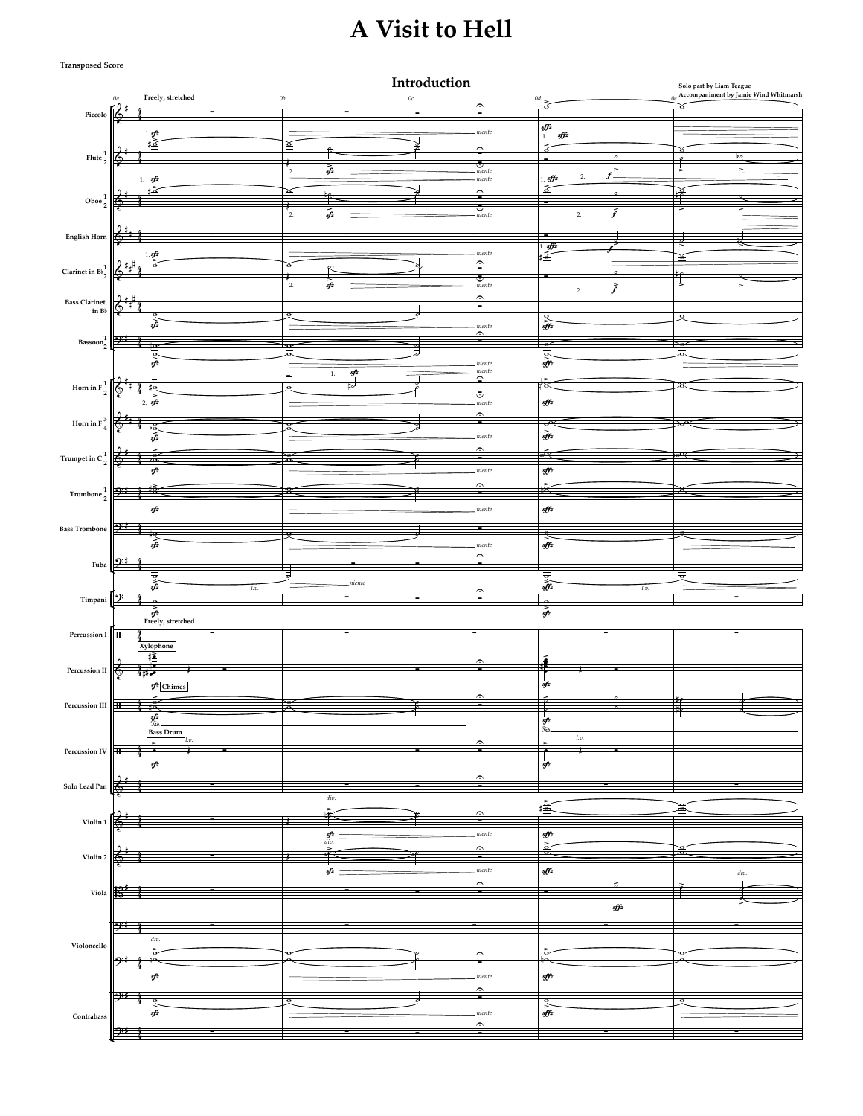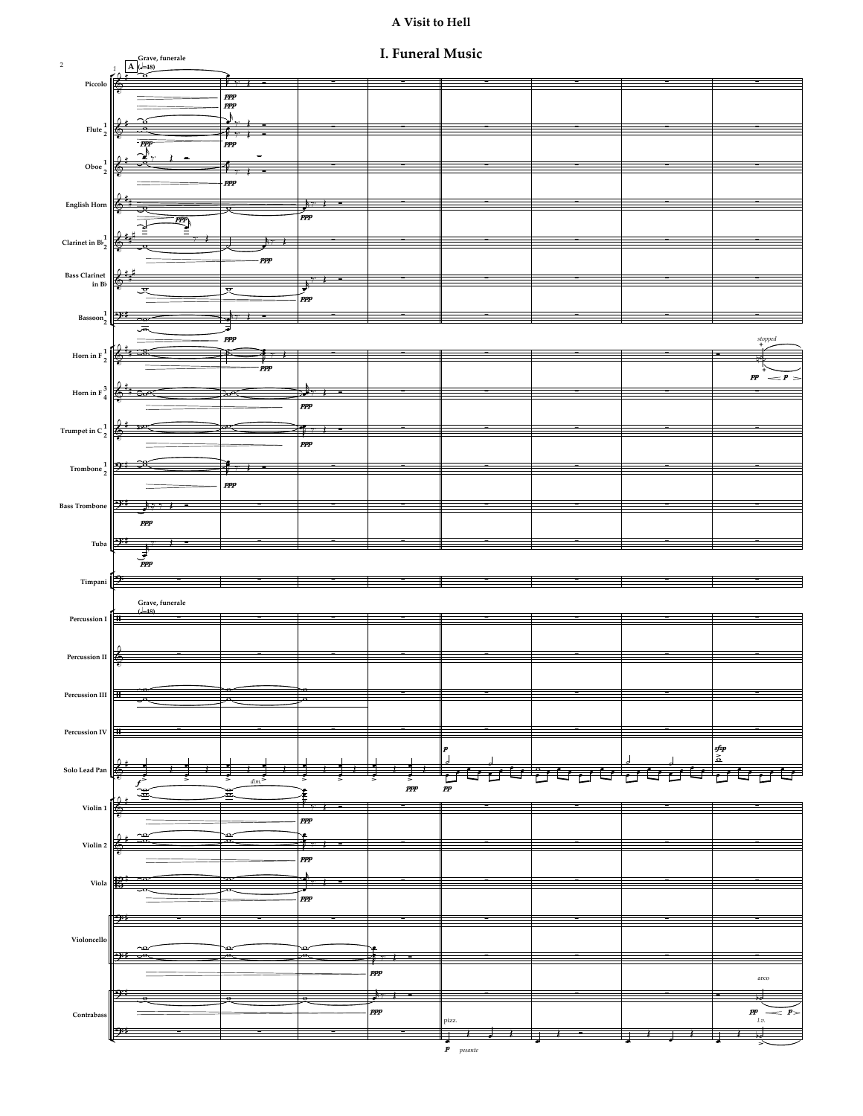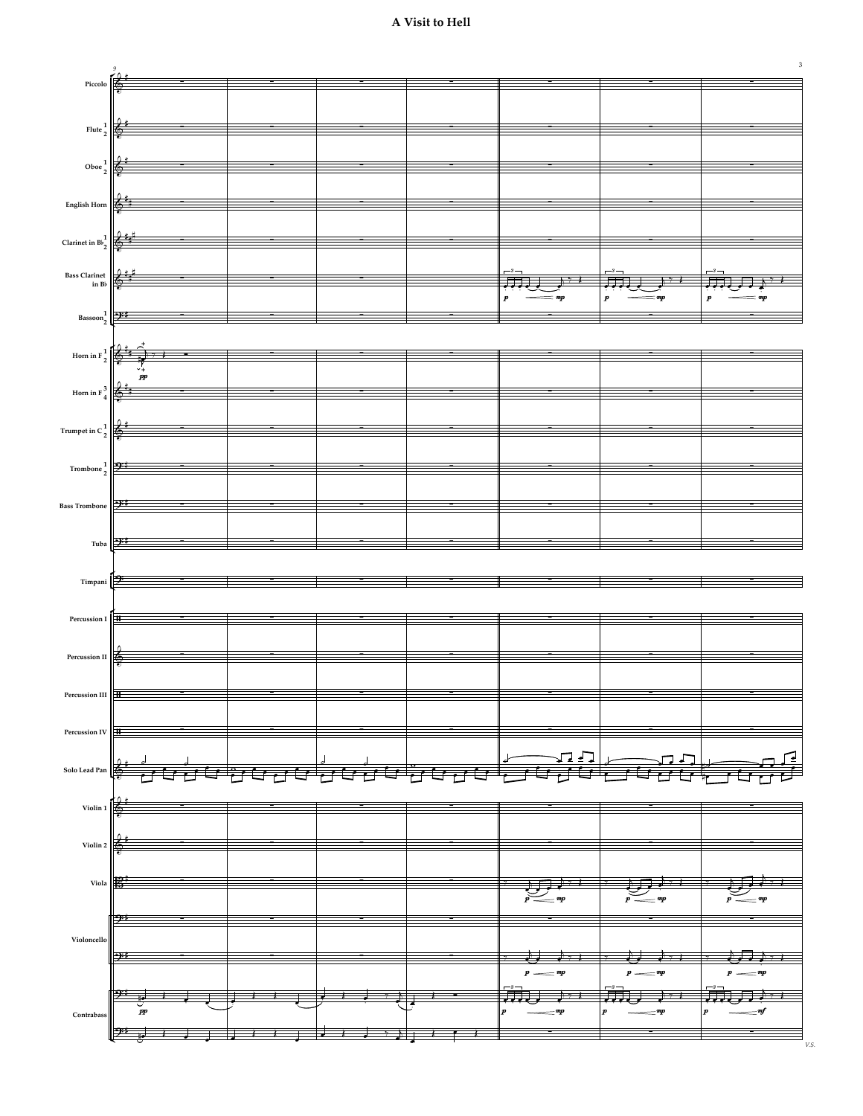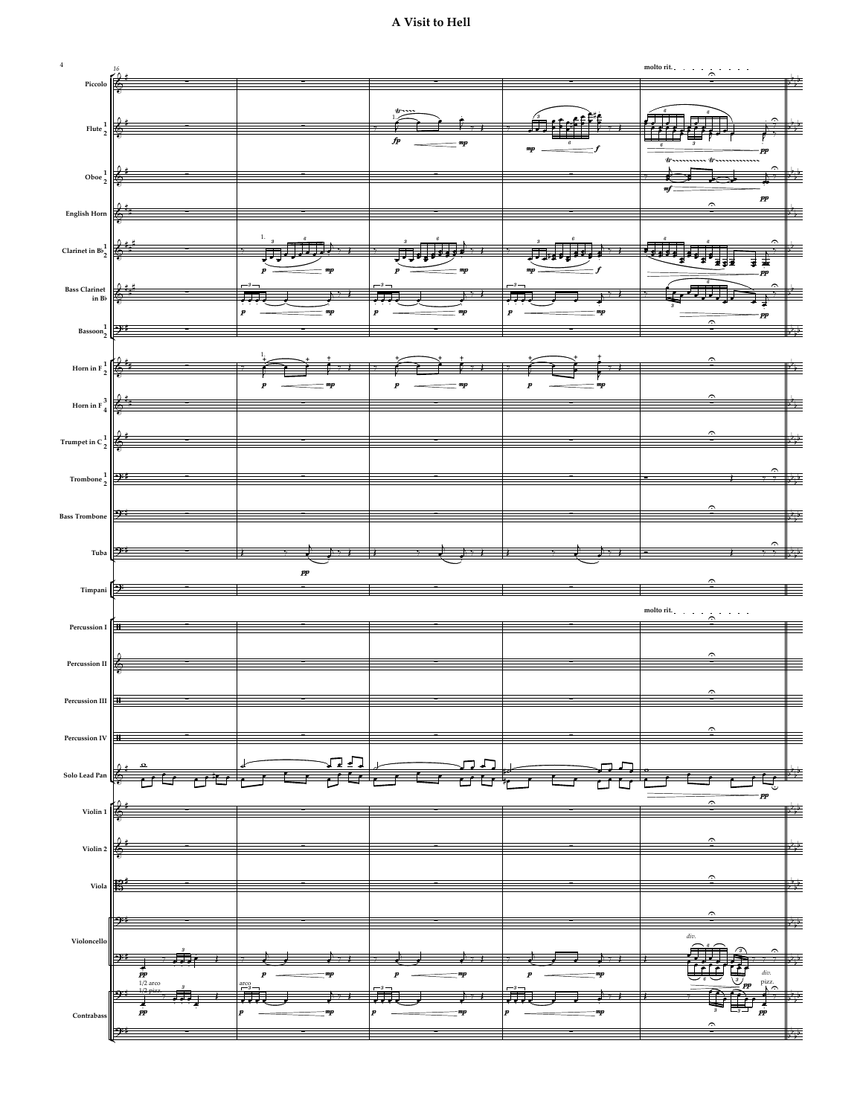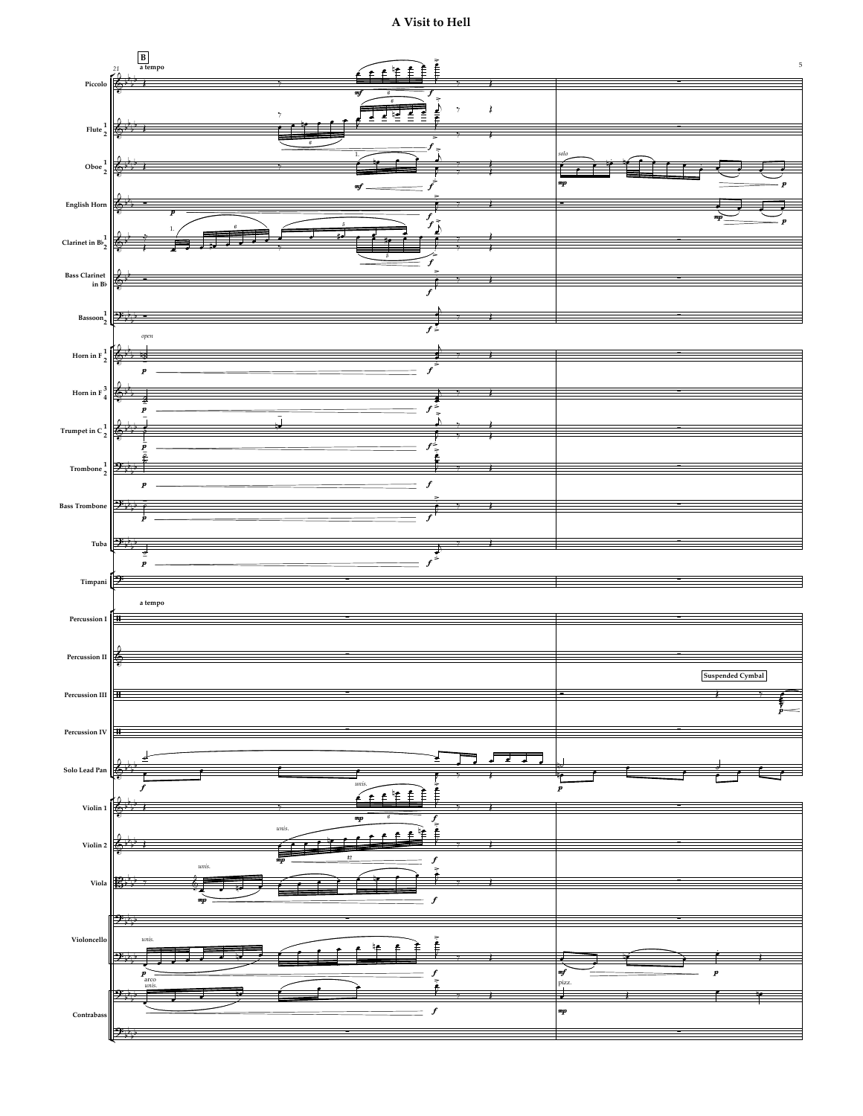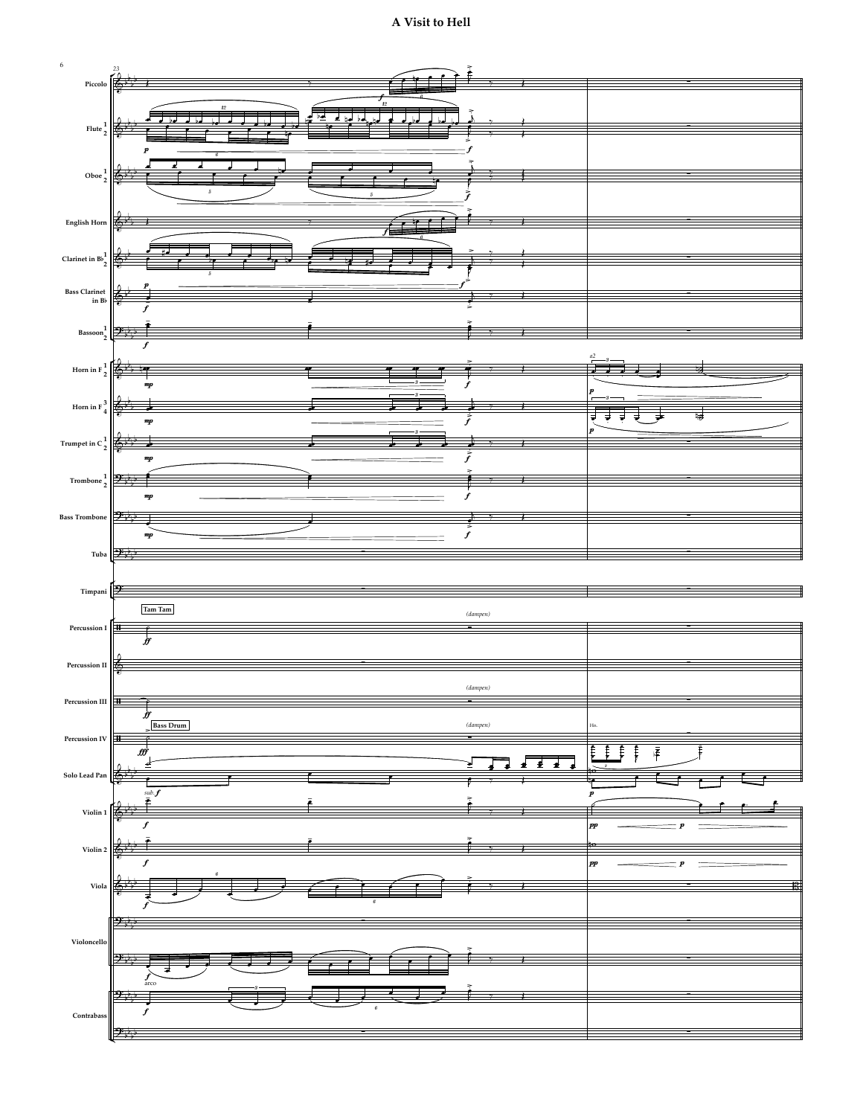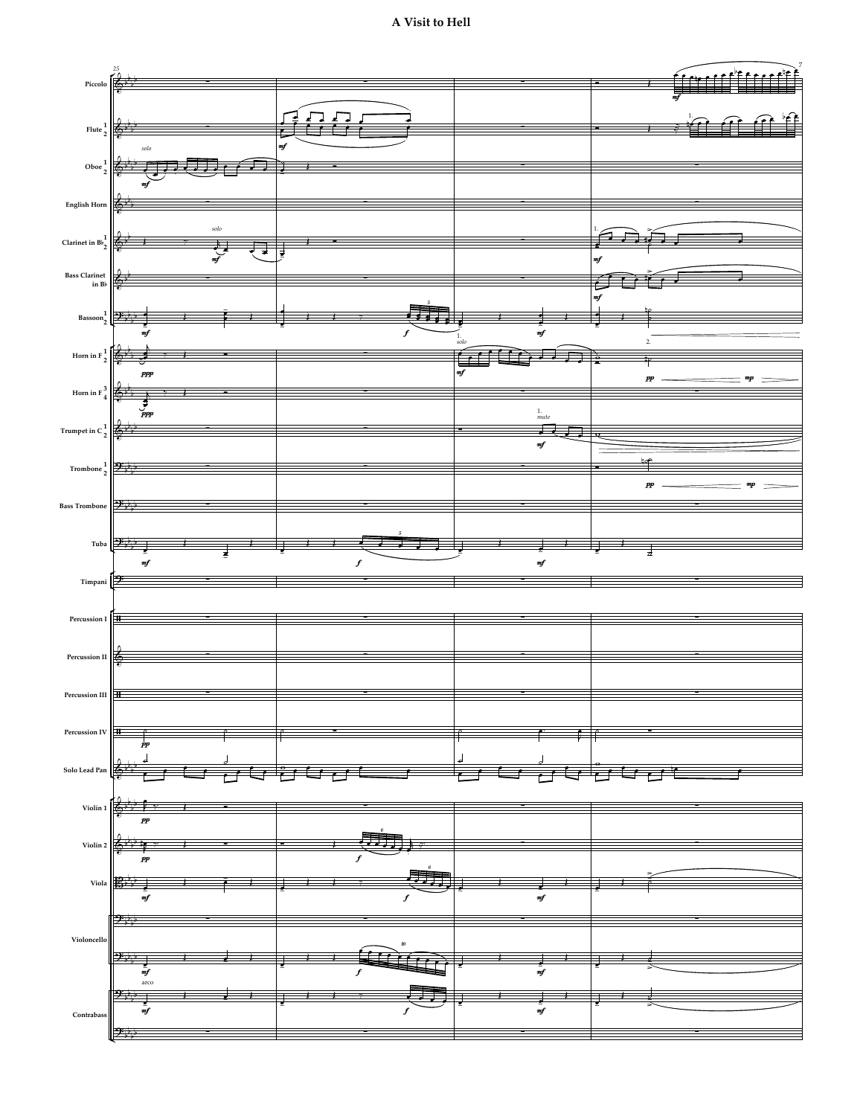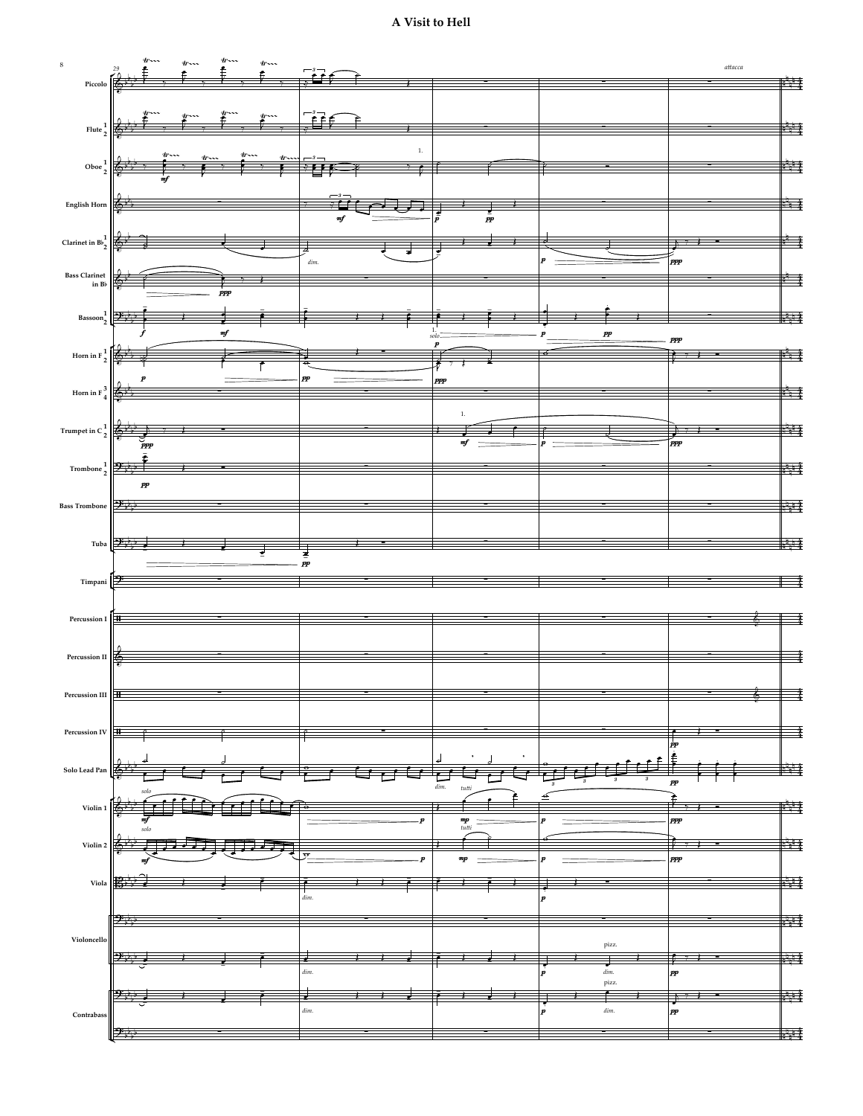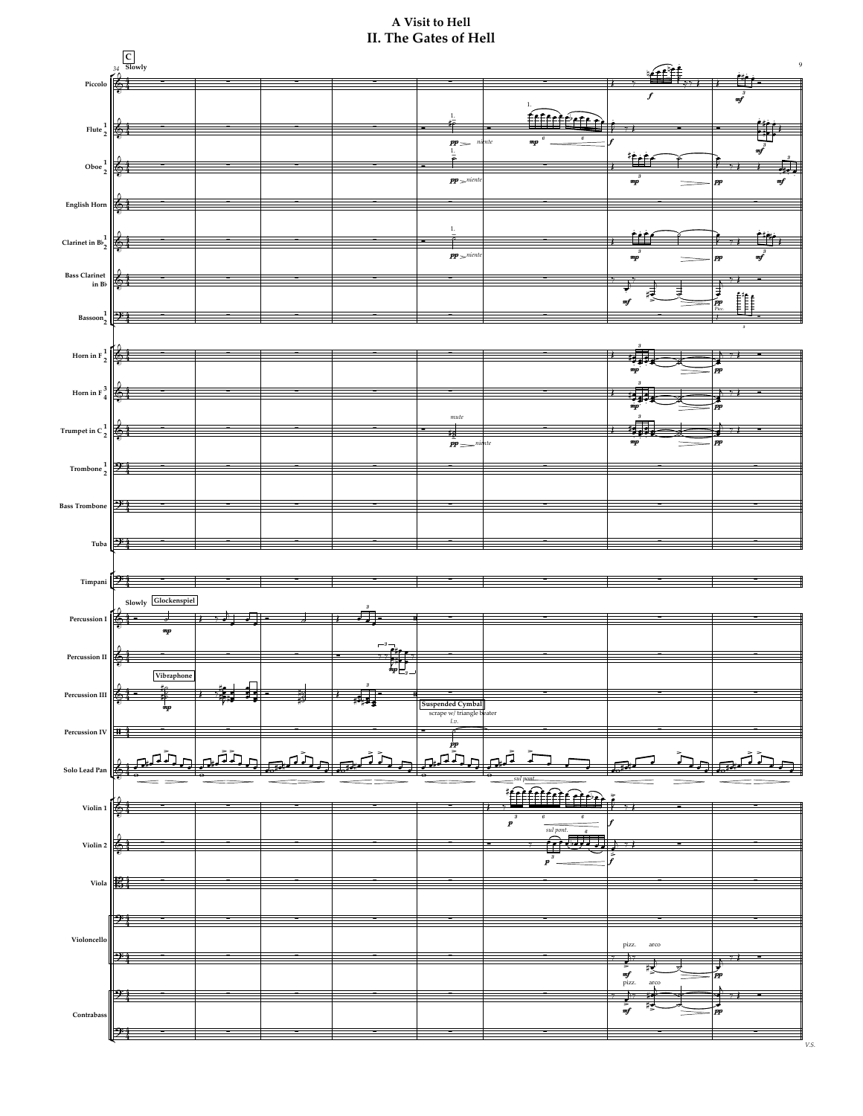# **II. The Gates of Hell A Visit to Hell**

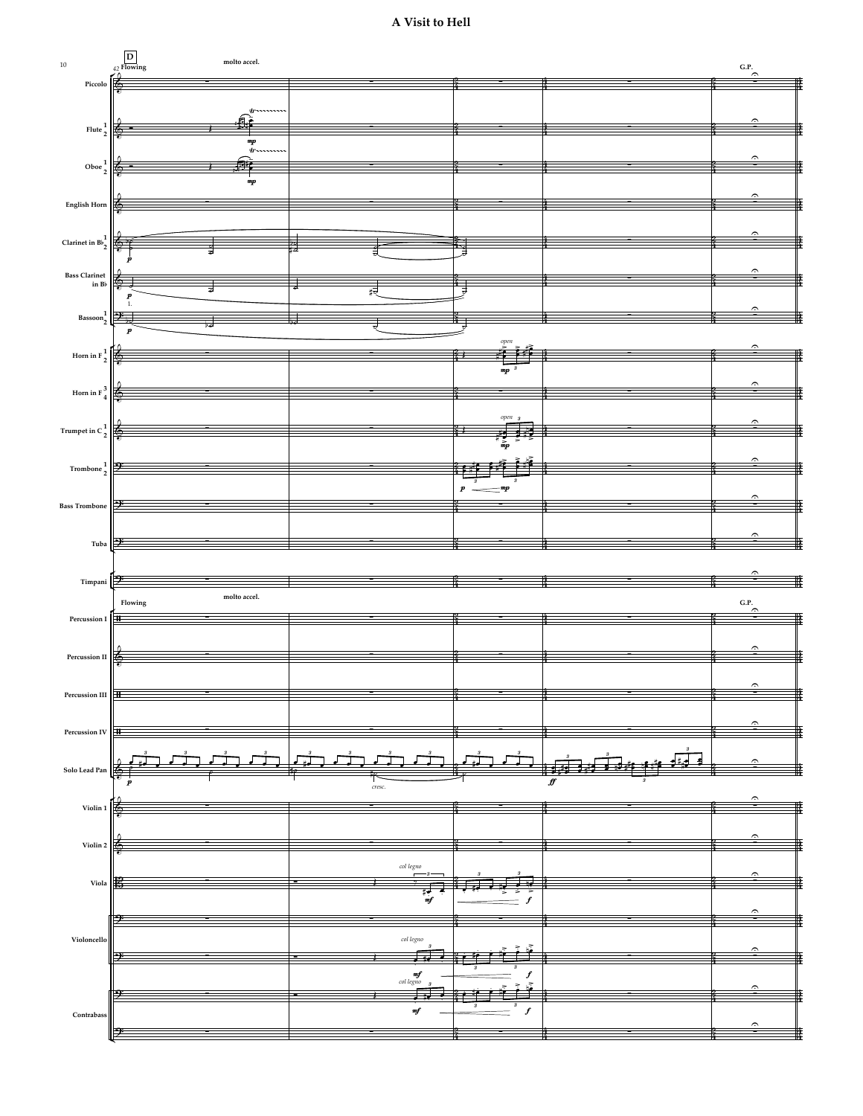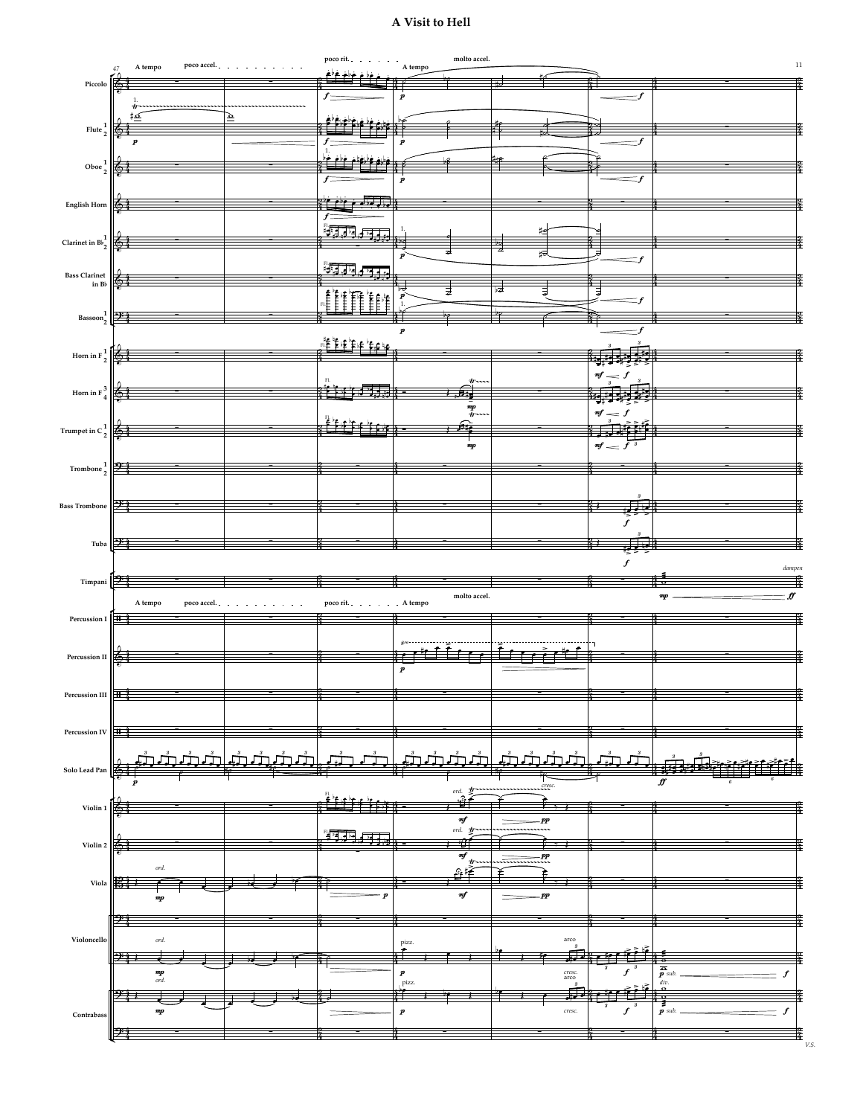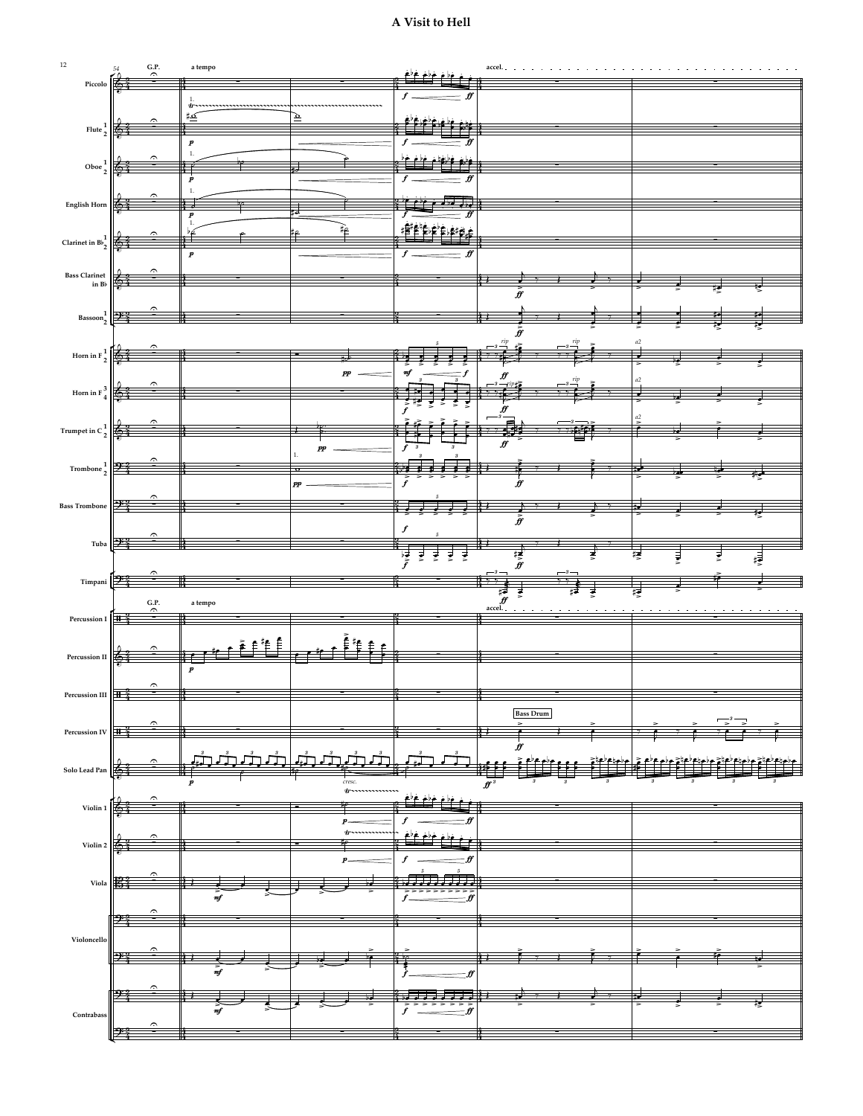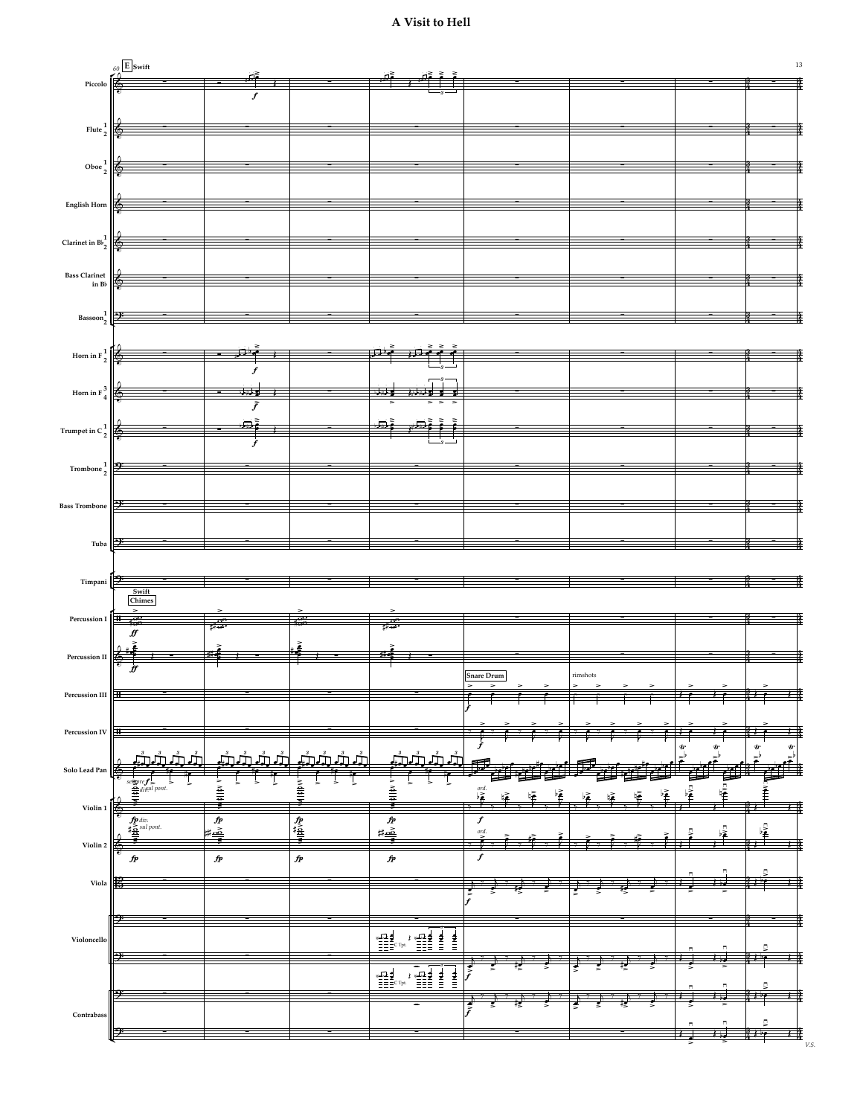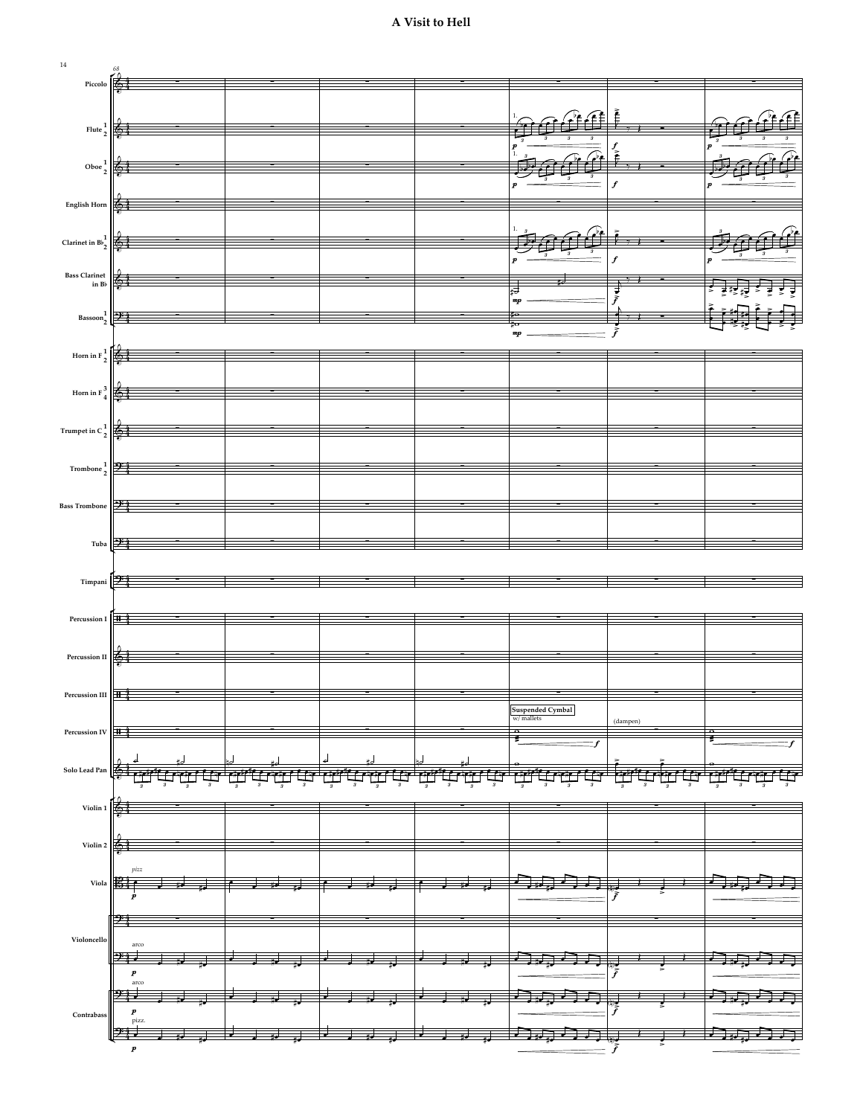

p and the property of  $\overline{f}$ 

p and the set of the set of the set of the set of the set of the set of the set of the set of the set of the set of the set of the set of the set of the set of the set of the set of the set of the set of the set of the se

<del>w a w a w a w a w a w a w a</del> constant and <del>c</del>

ان و رح شونی است و آست آ

p and the set of  $\overline{f}$ 

> > œ œ #œ #œ œ œ #œ #œ œ œ #œ #œ œ œ #œ #œ œ œ #œ #œ œ œ œ œ <n>œ <sup>Œ</sup> <sup>œ</sup> Œ œ œ #œ #œ œ œ œ œ

 $\begin{array}{|c|c|c|c|c|}\n\hline\n\end{array}$   $\begin{array}{|c|c|c|}\n\hline\n\end{array}$   $\begin{array}{|c|c|c|}\n\hline\n\end{array}$   $\begin{array}{|c|c|c|}\n\hline\n\end{array}$ 

 $24$   $\frac{1}{2}$   $\frac{1}{2}$   $\frac{1}{2}$   $\frac{1}{2}$ 

arco

**Contrabass**  $\left|\left|\right|$  *p* pizz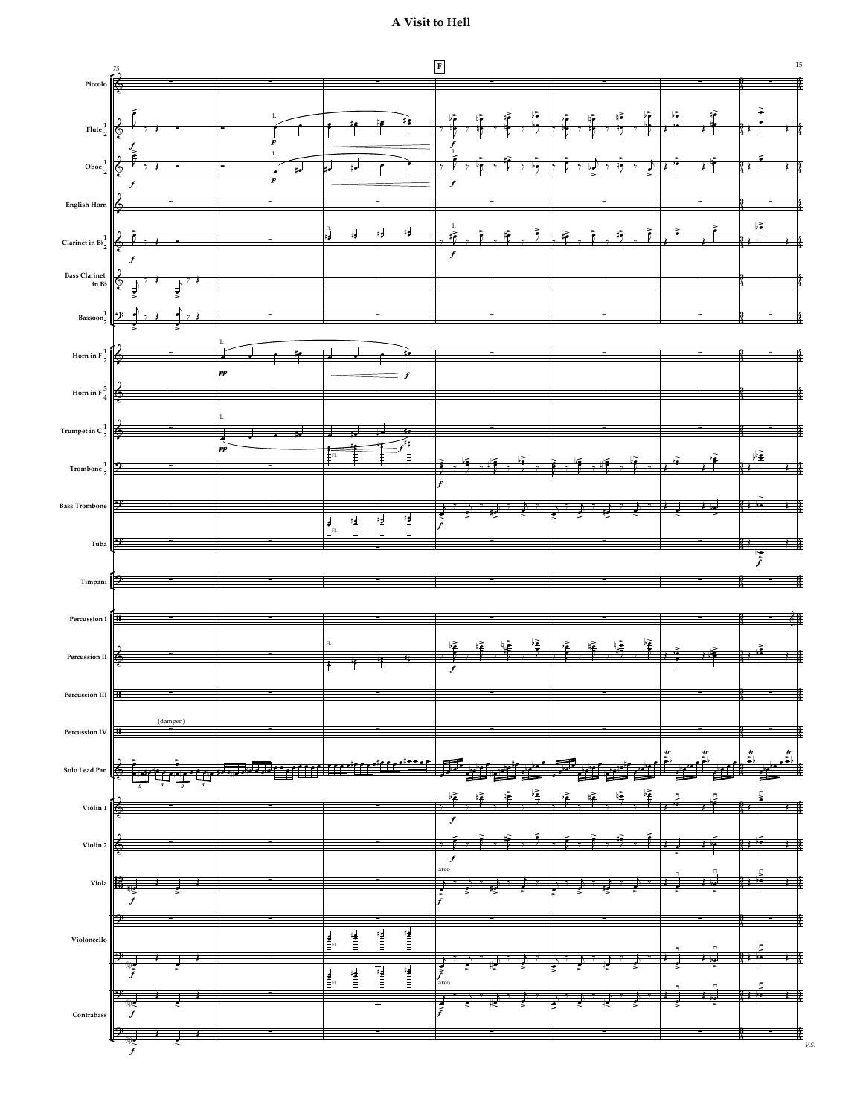

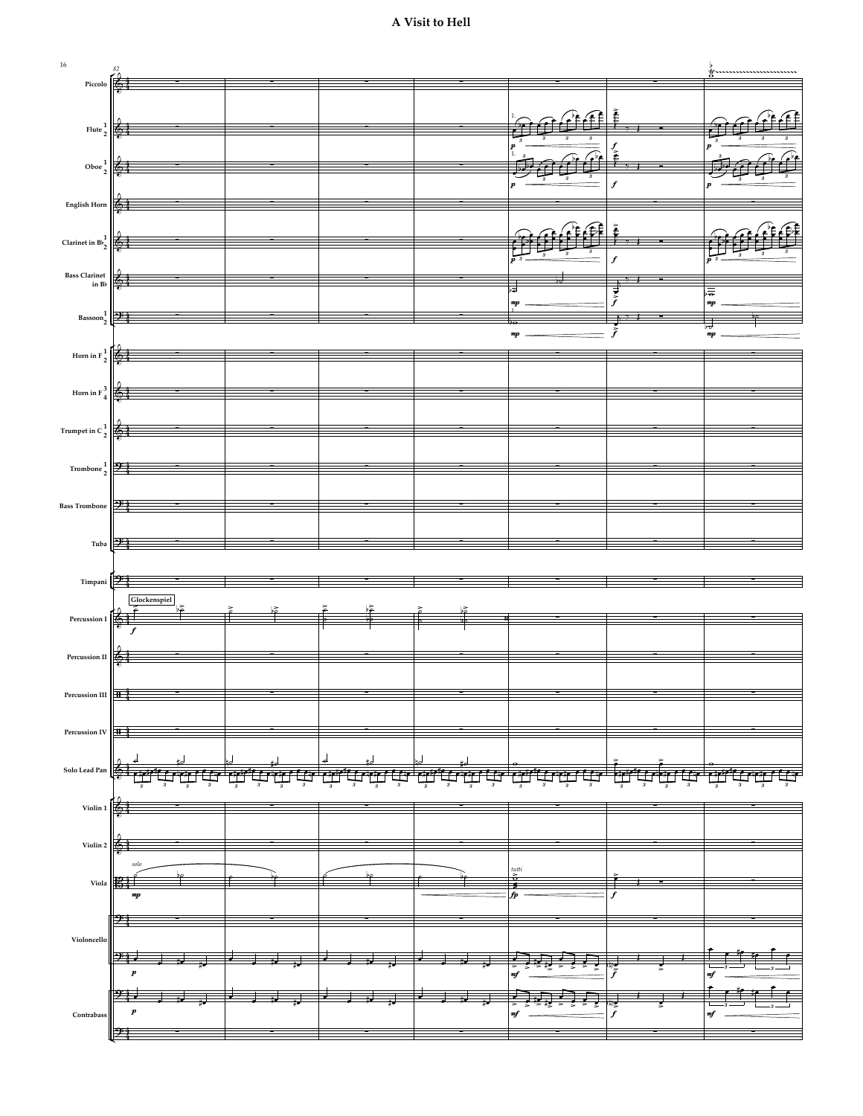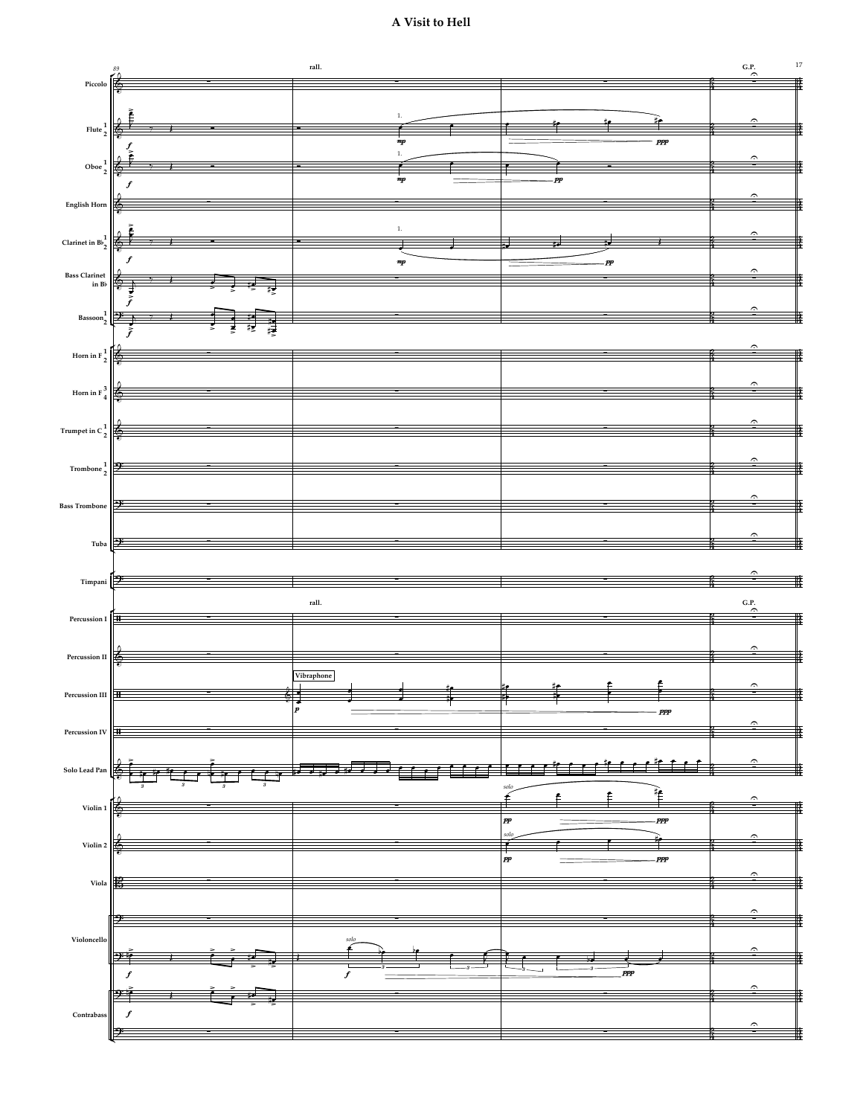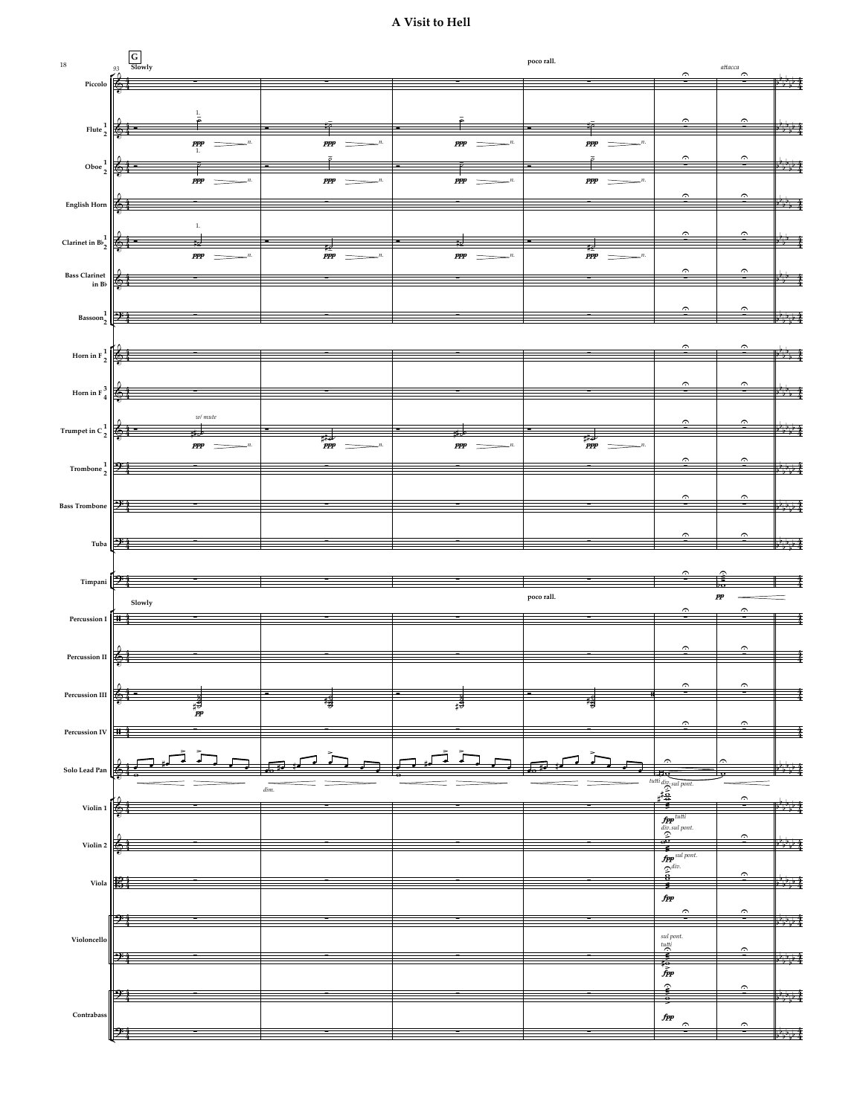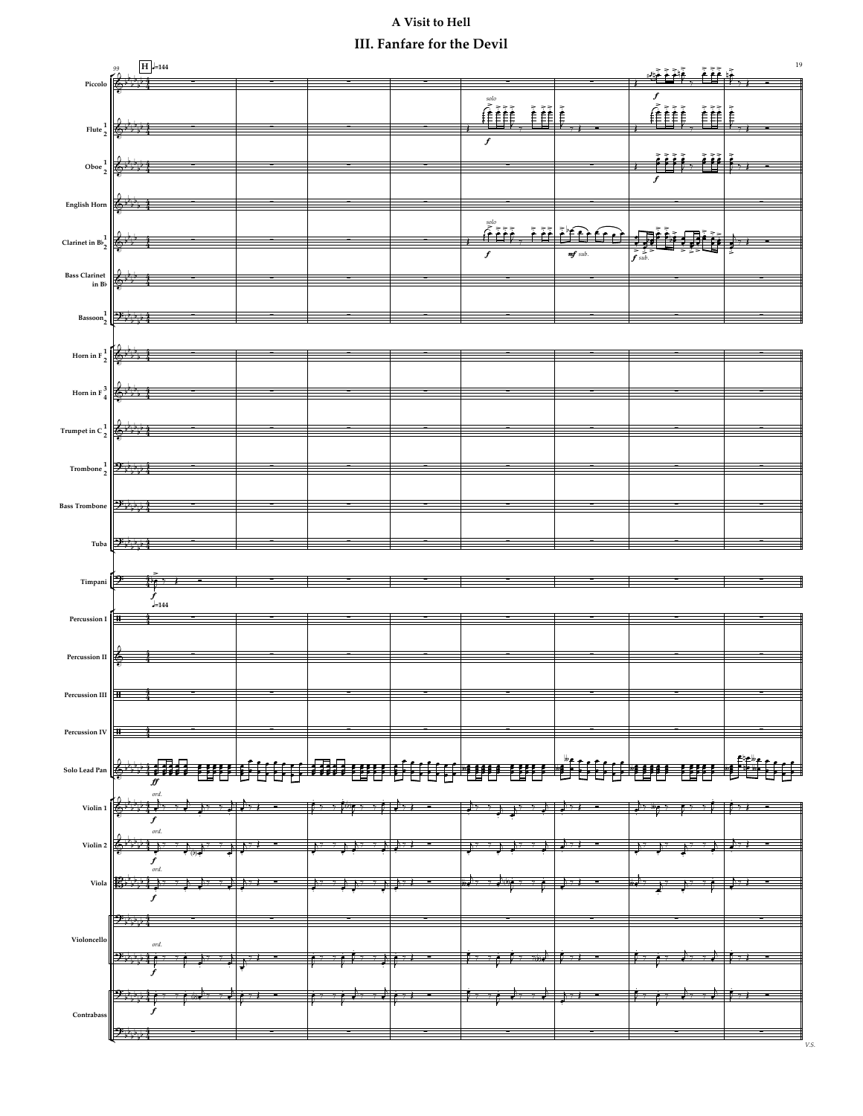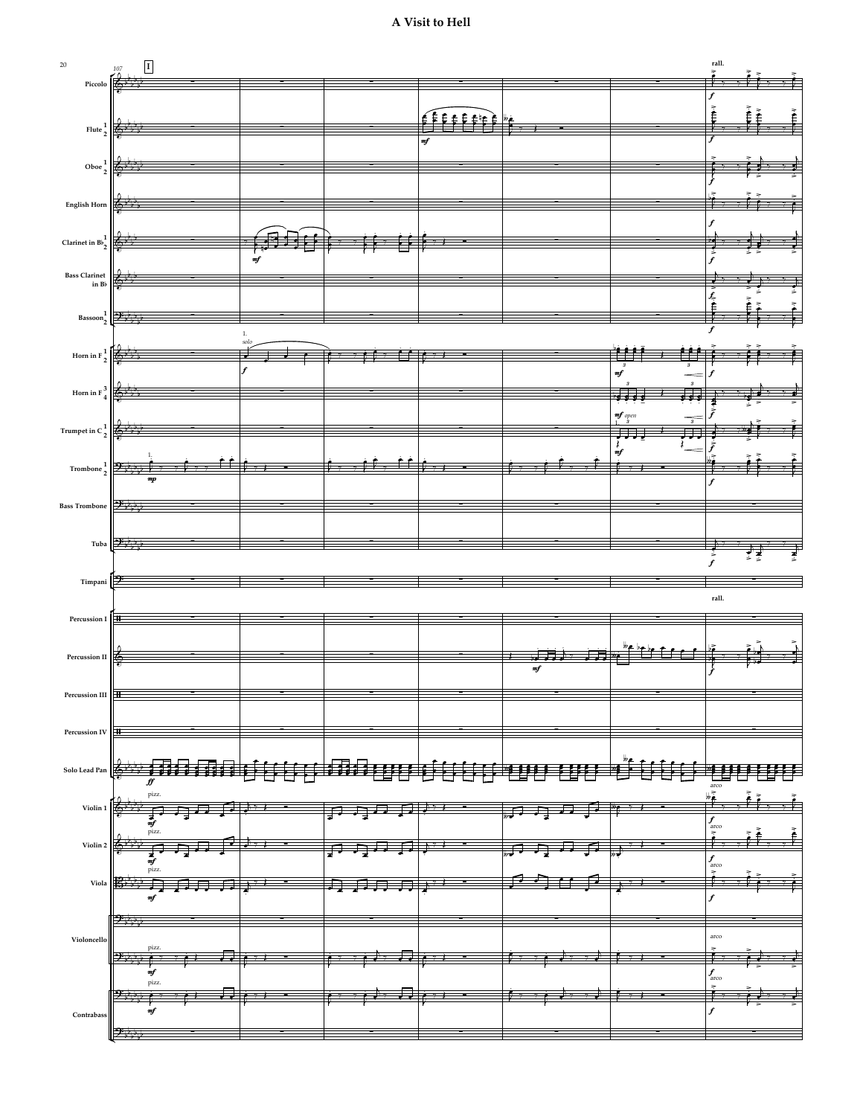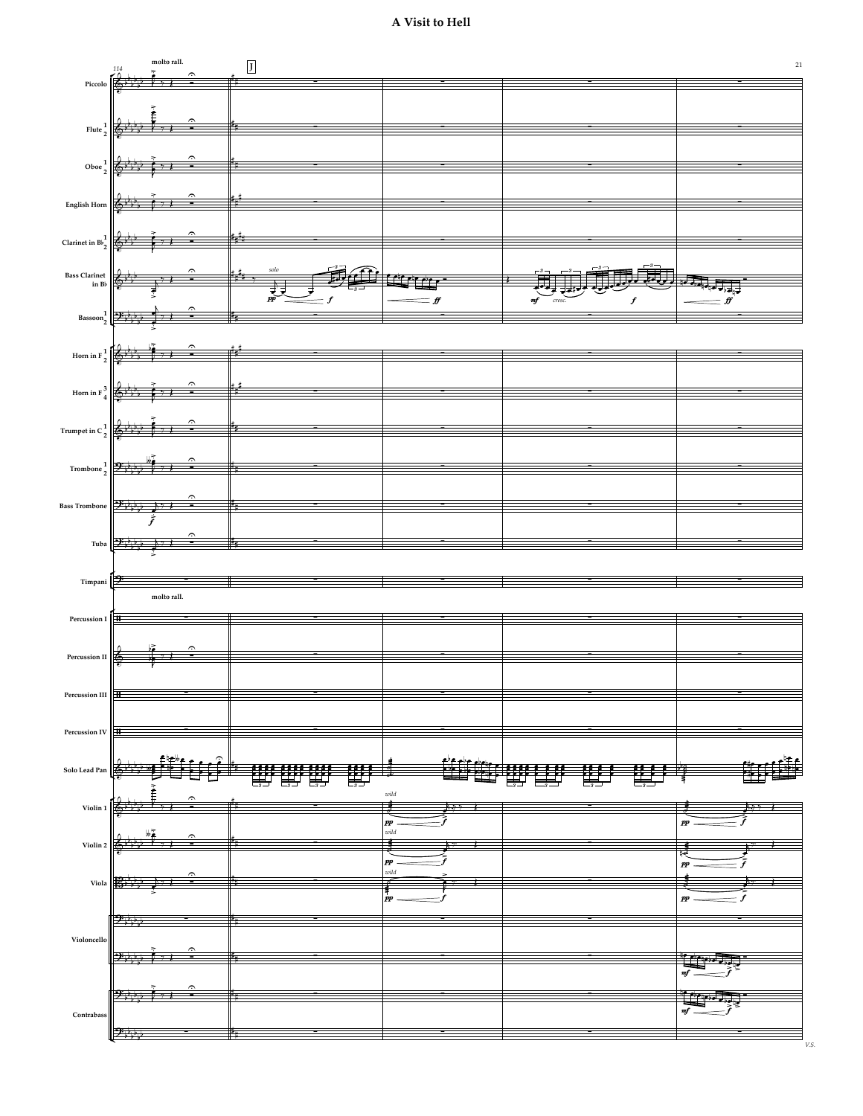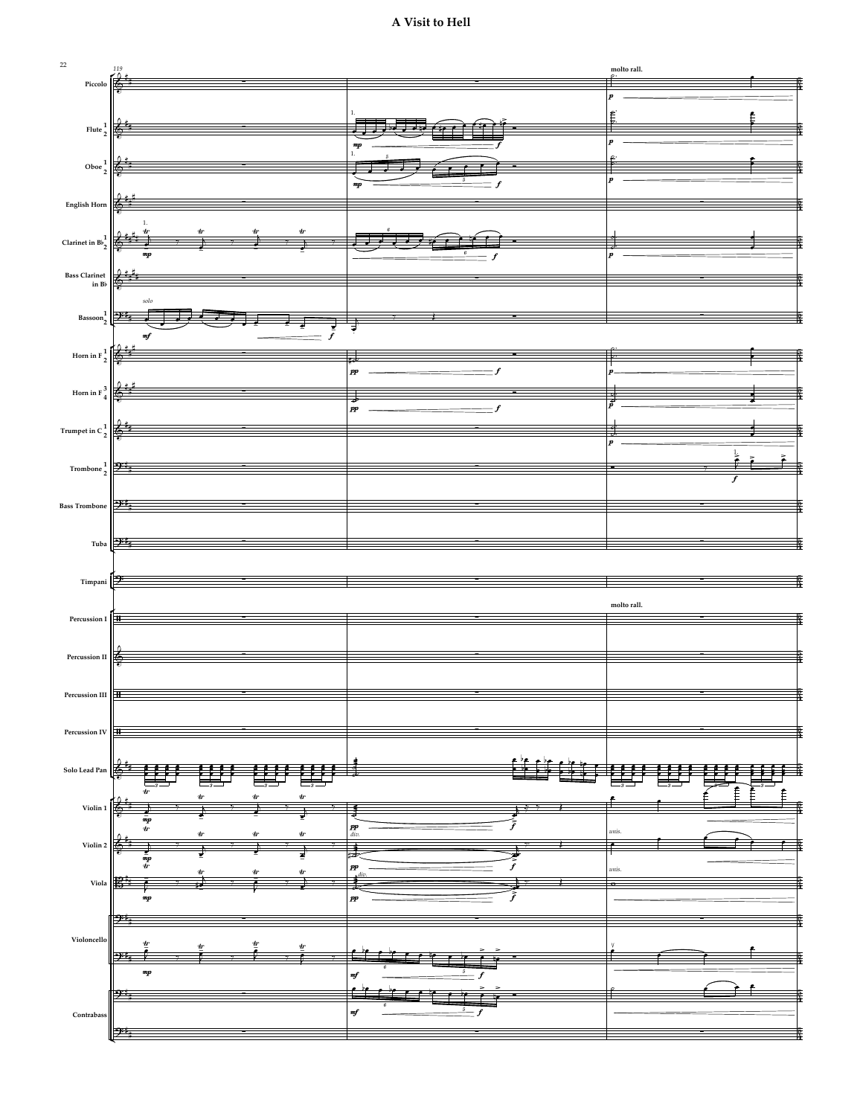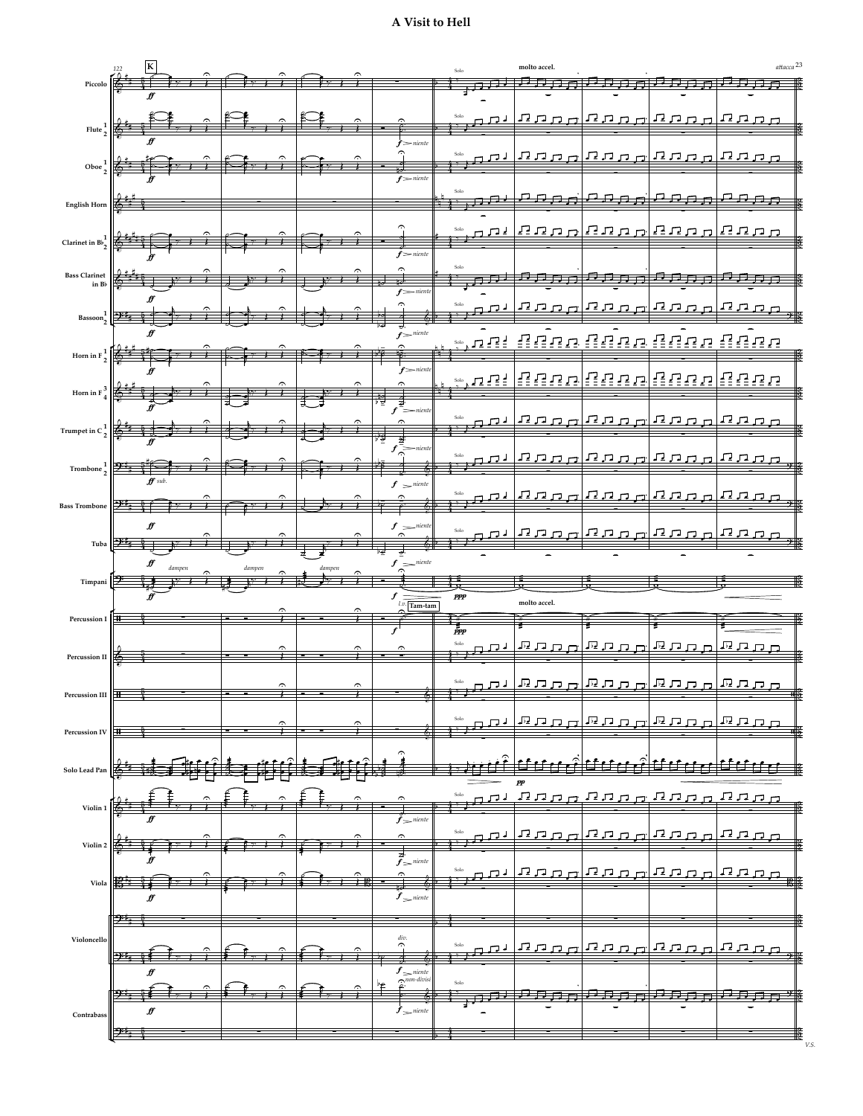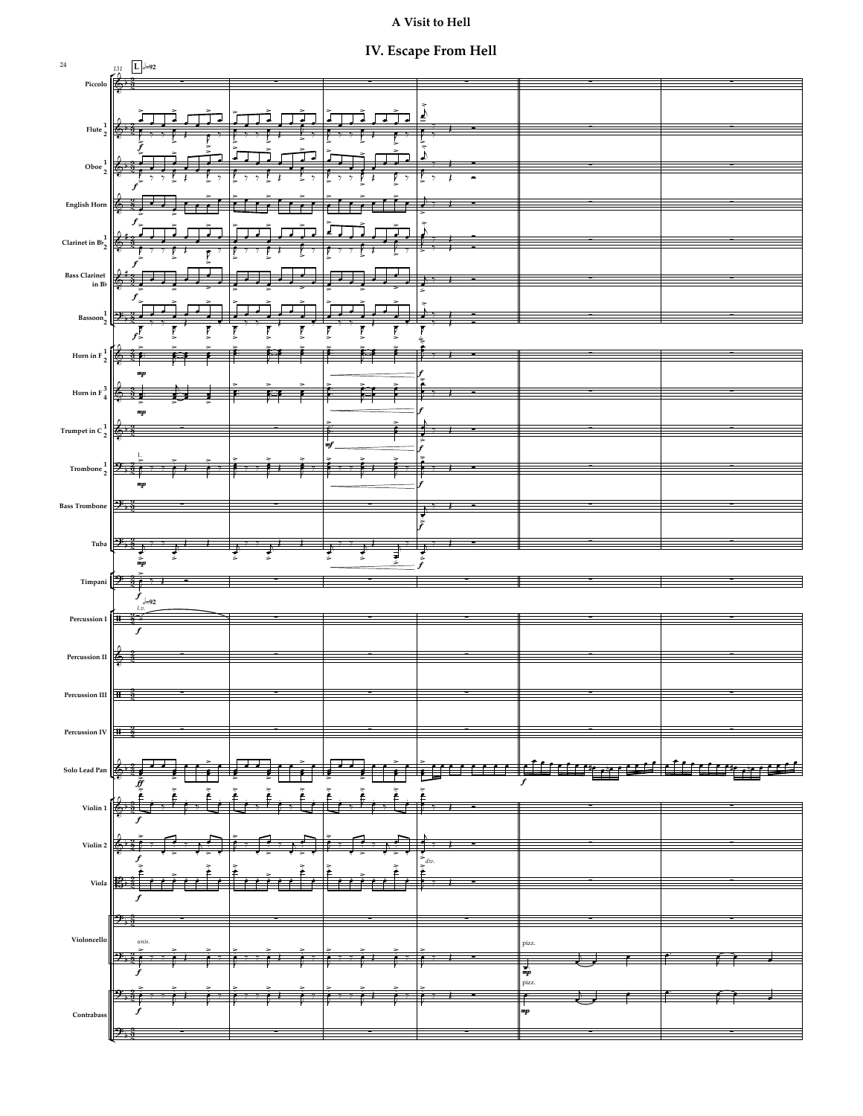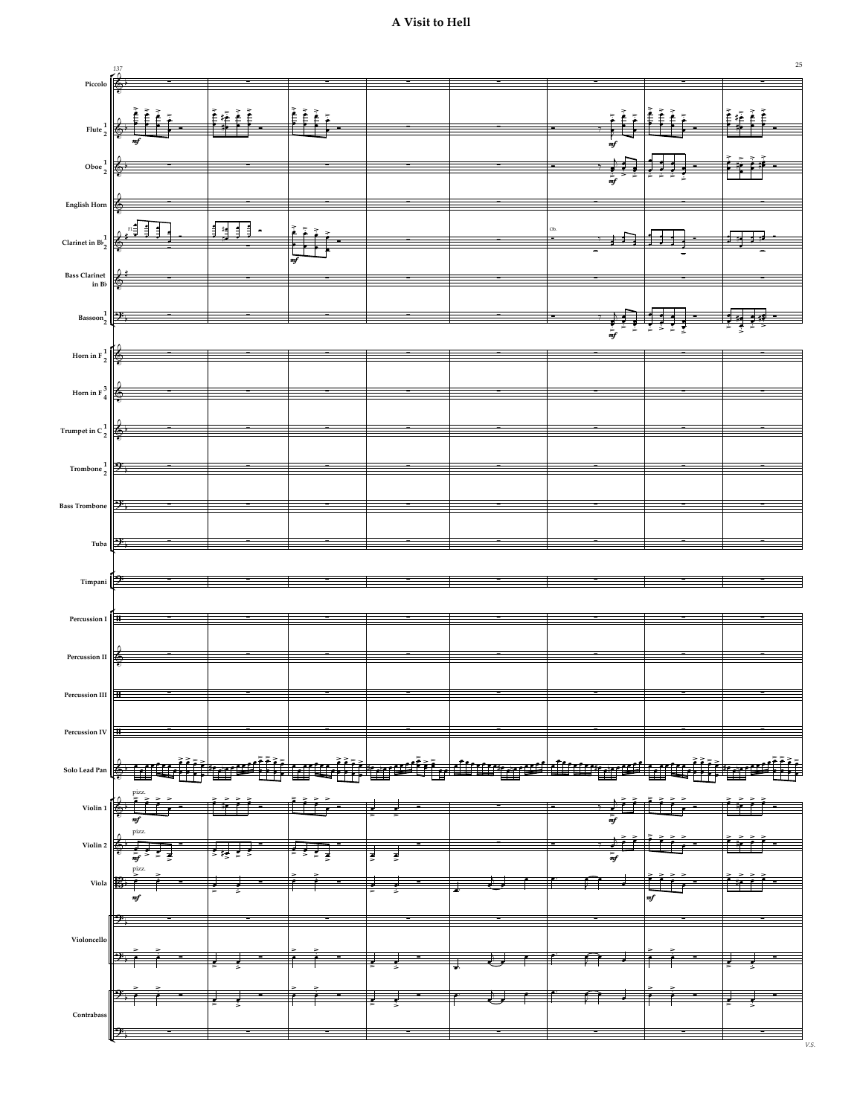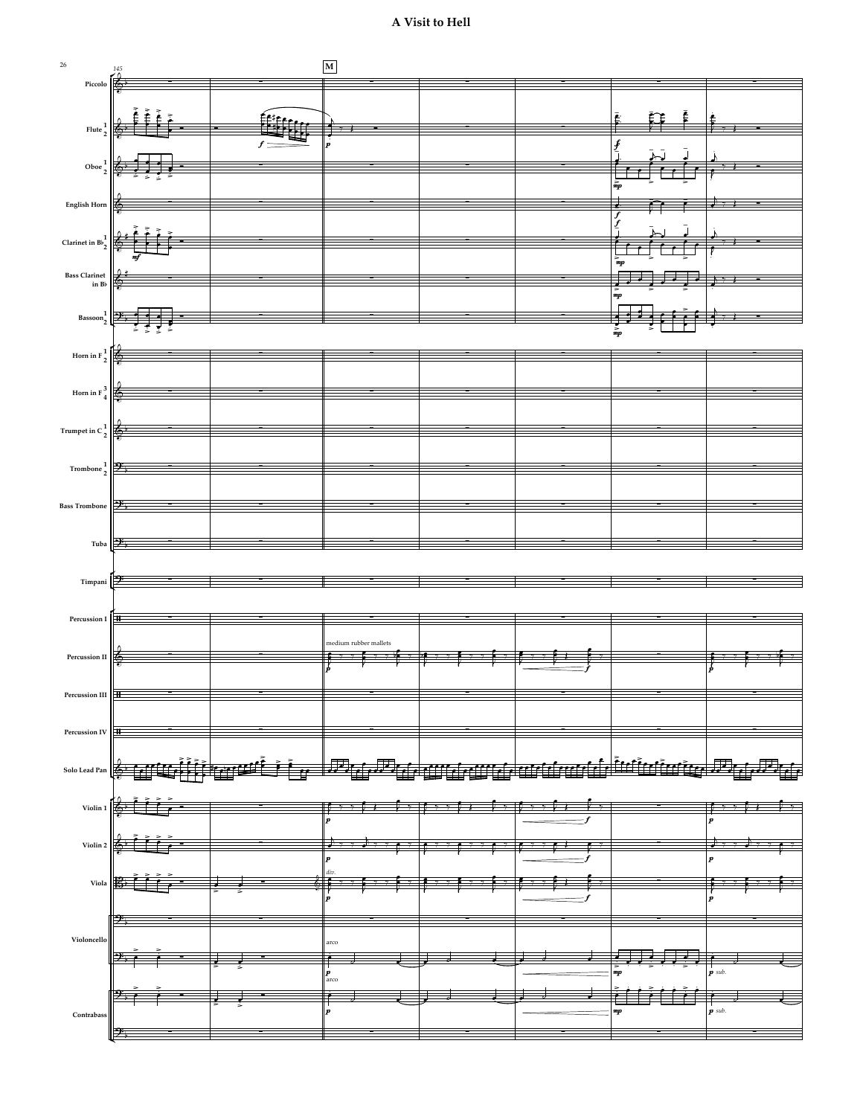

26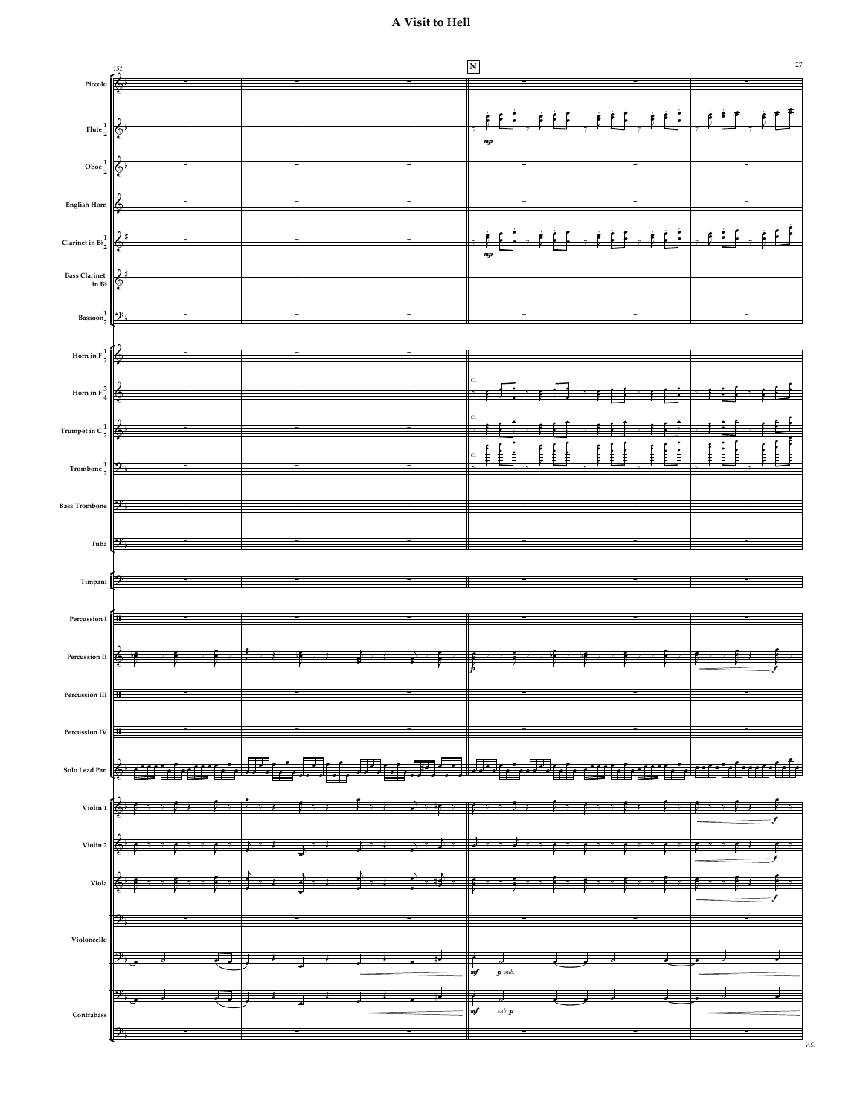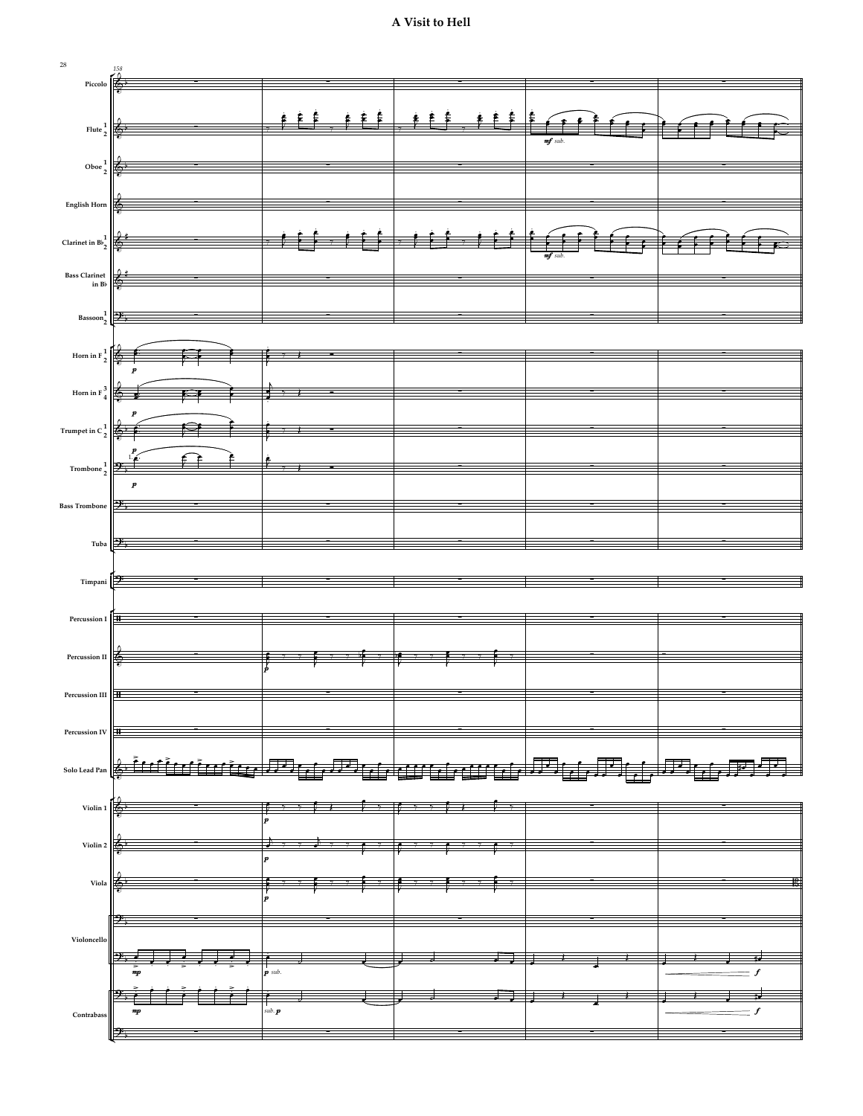

28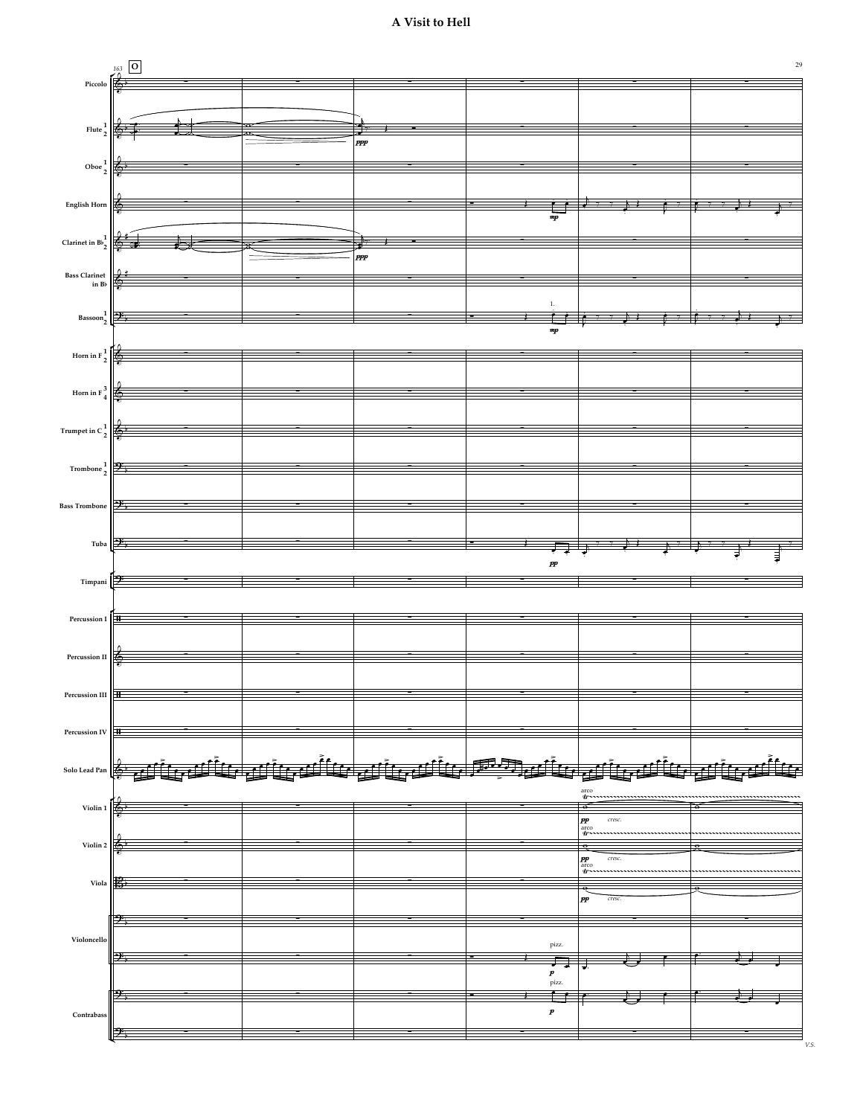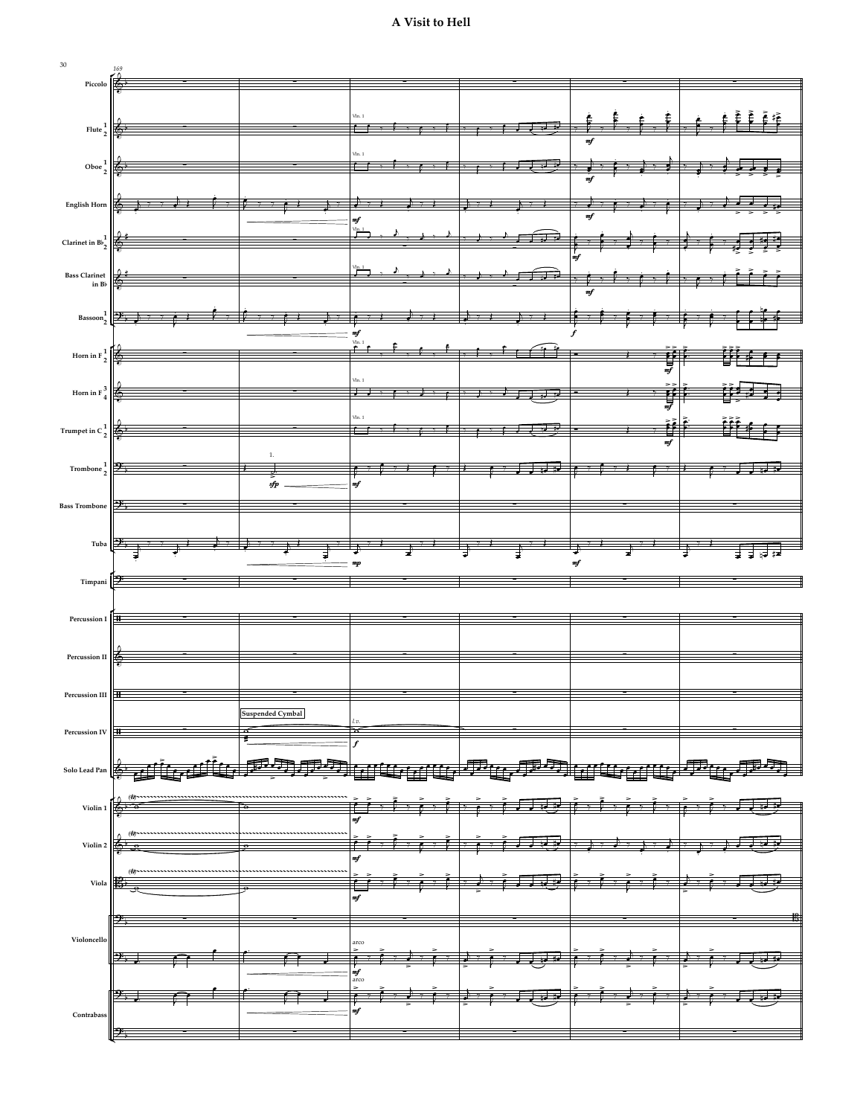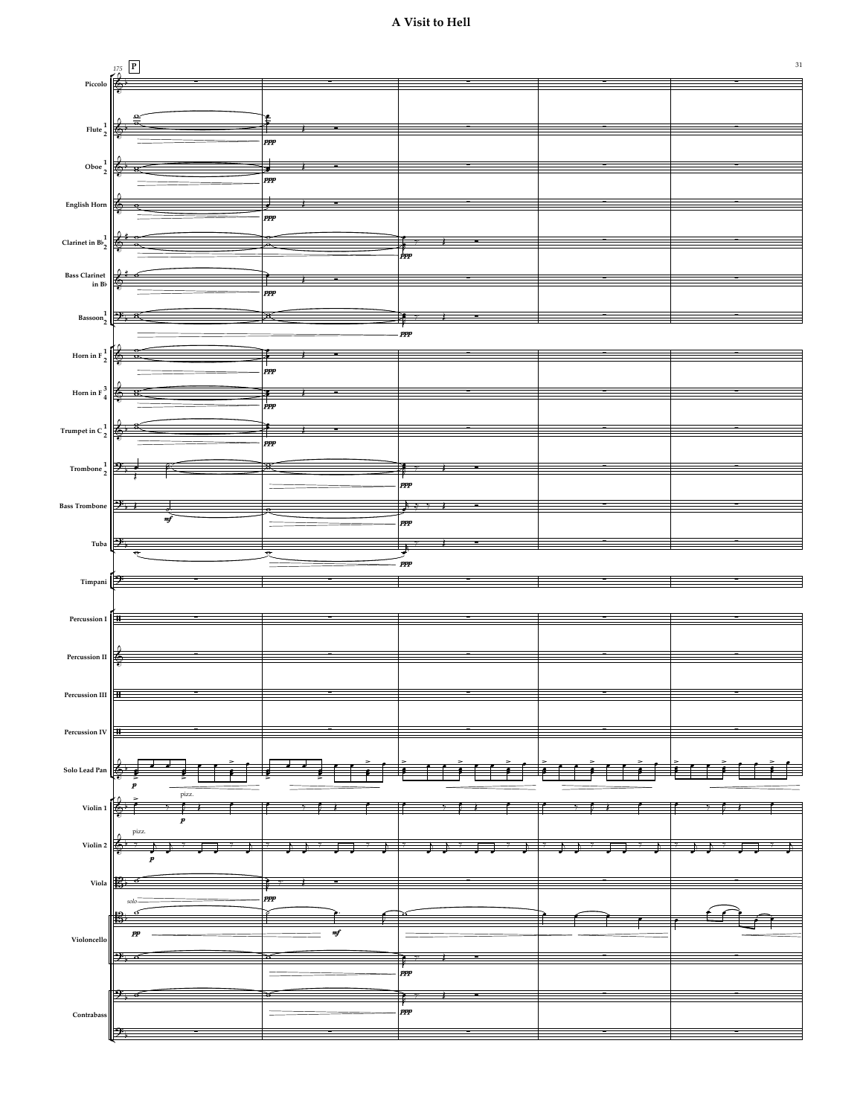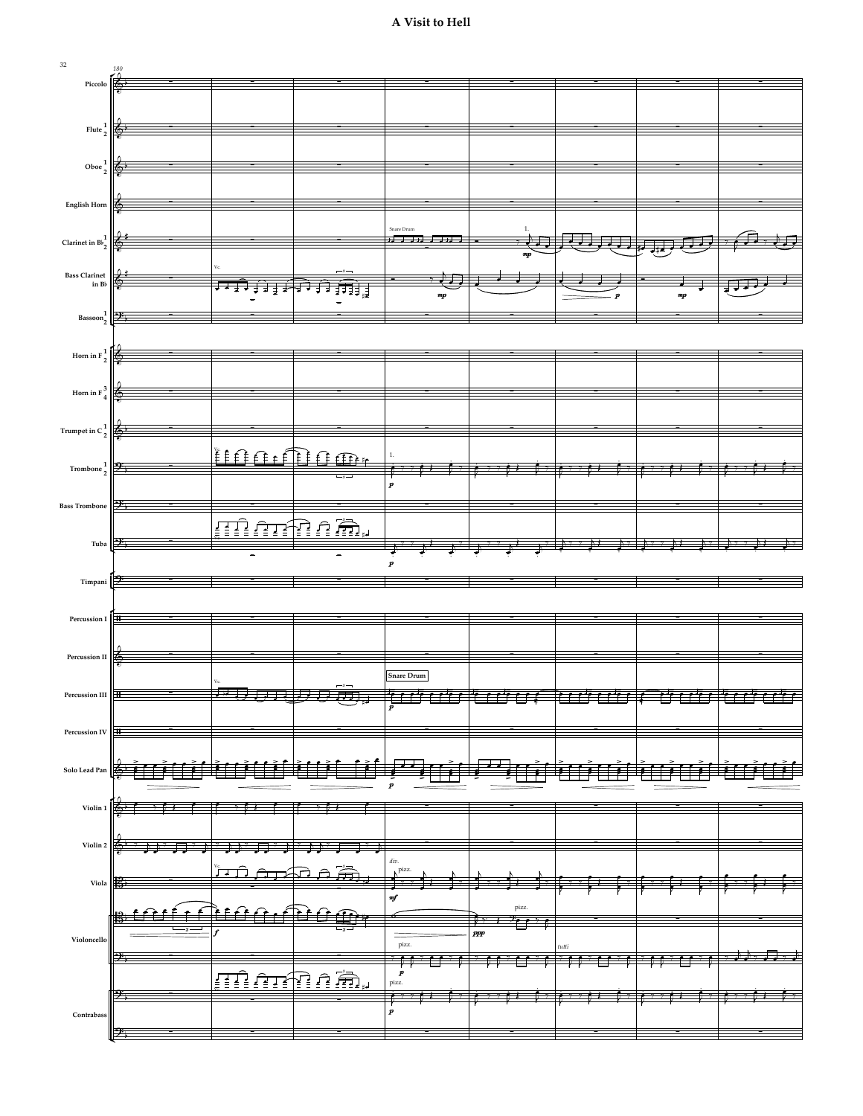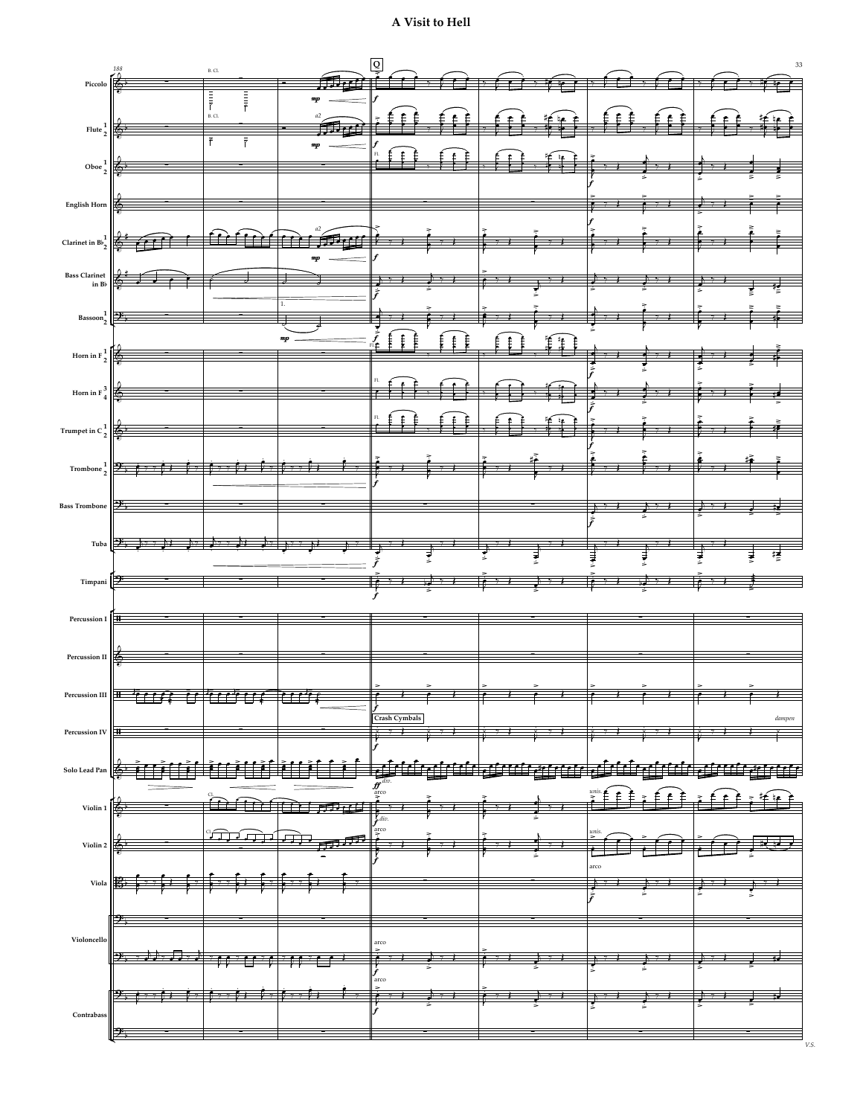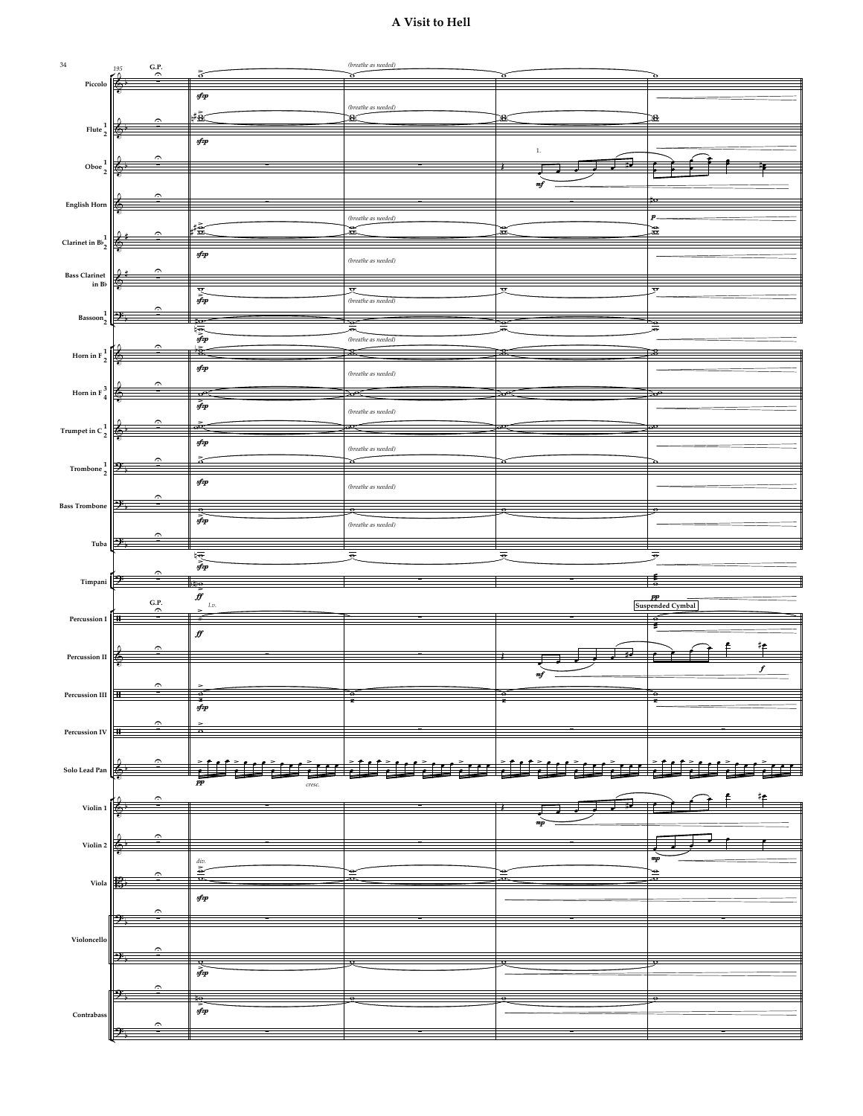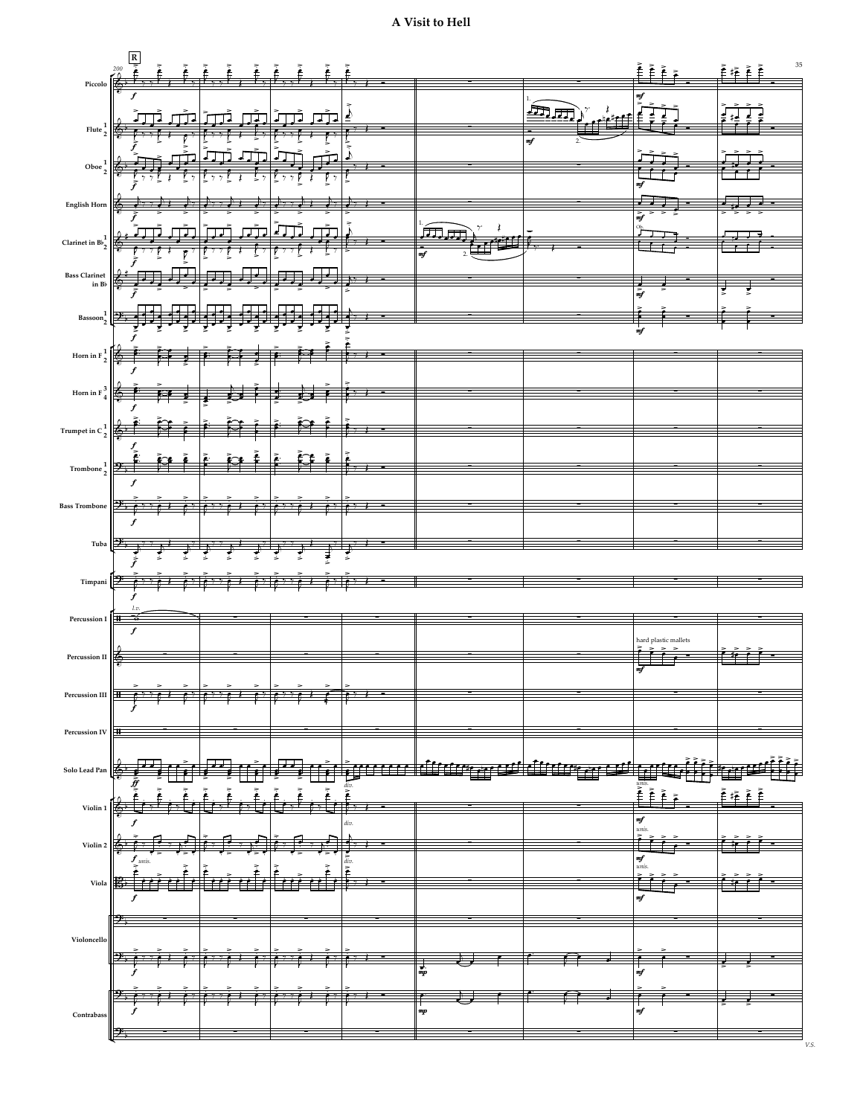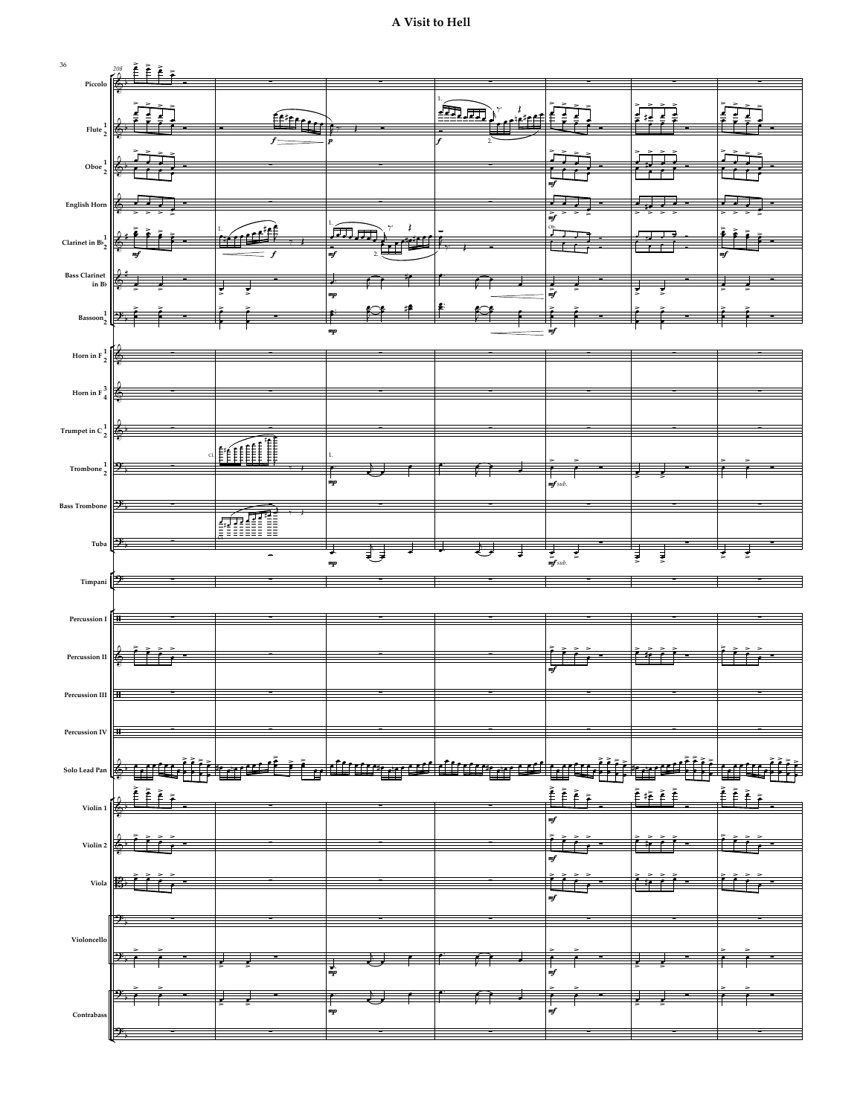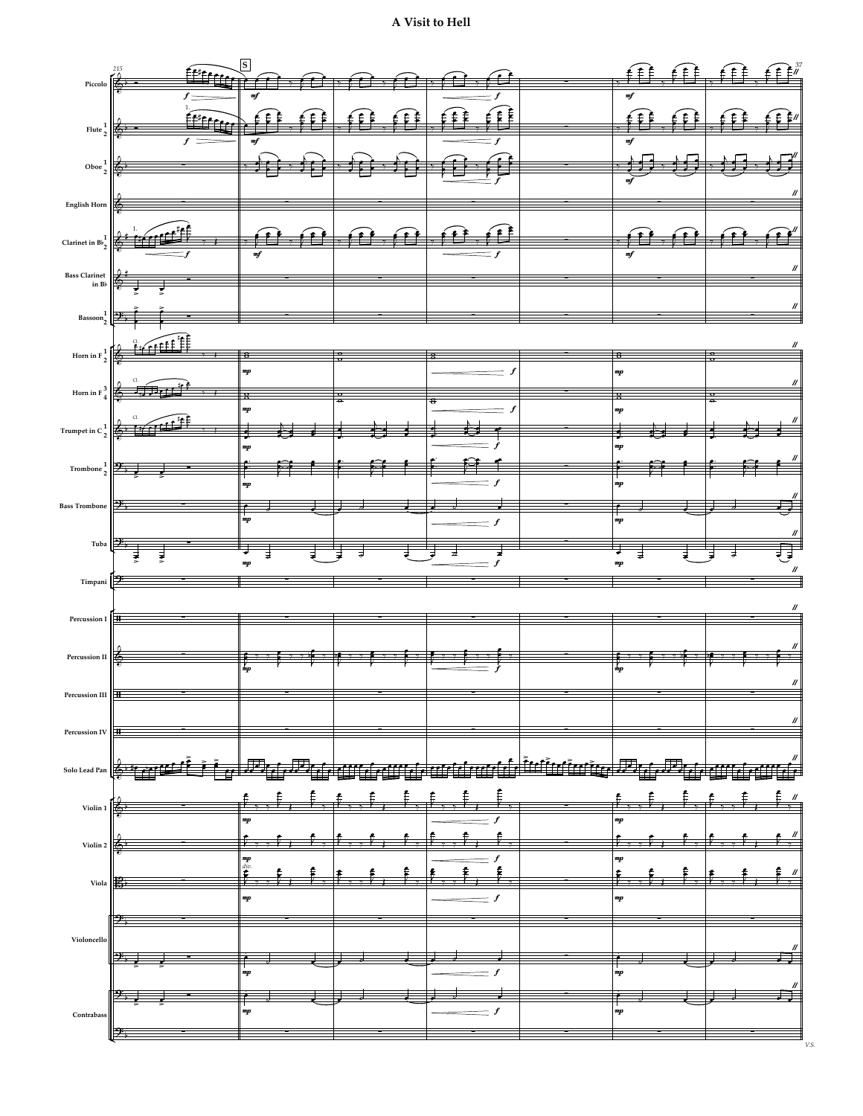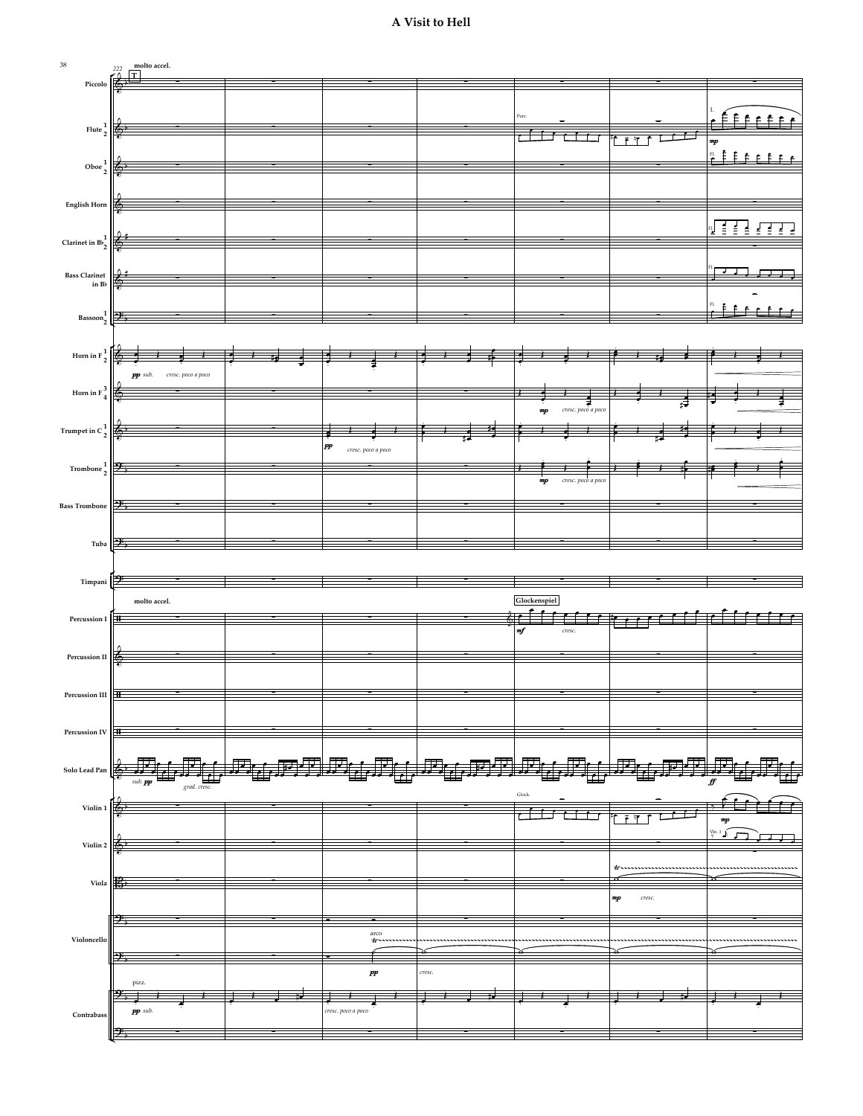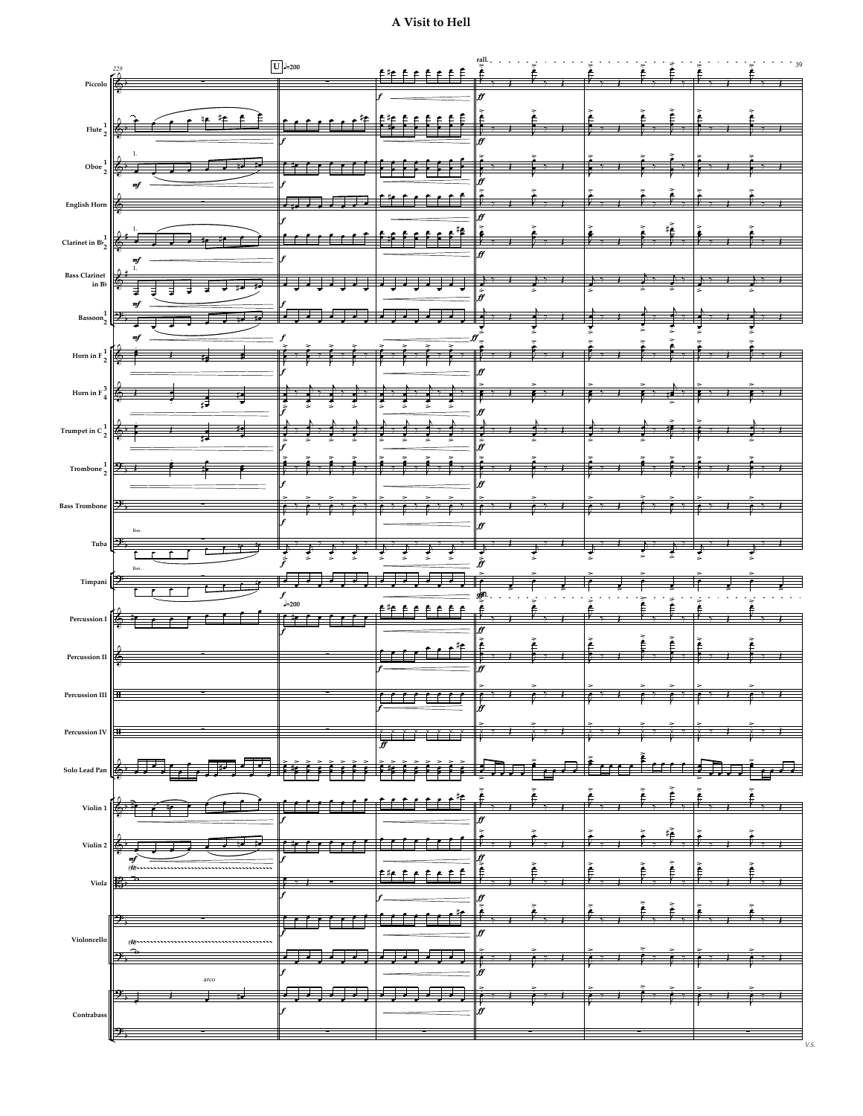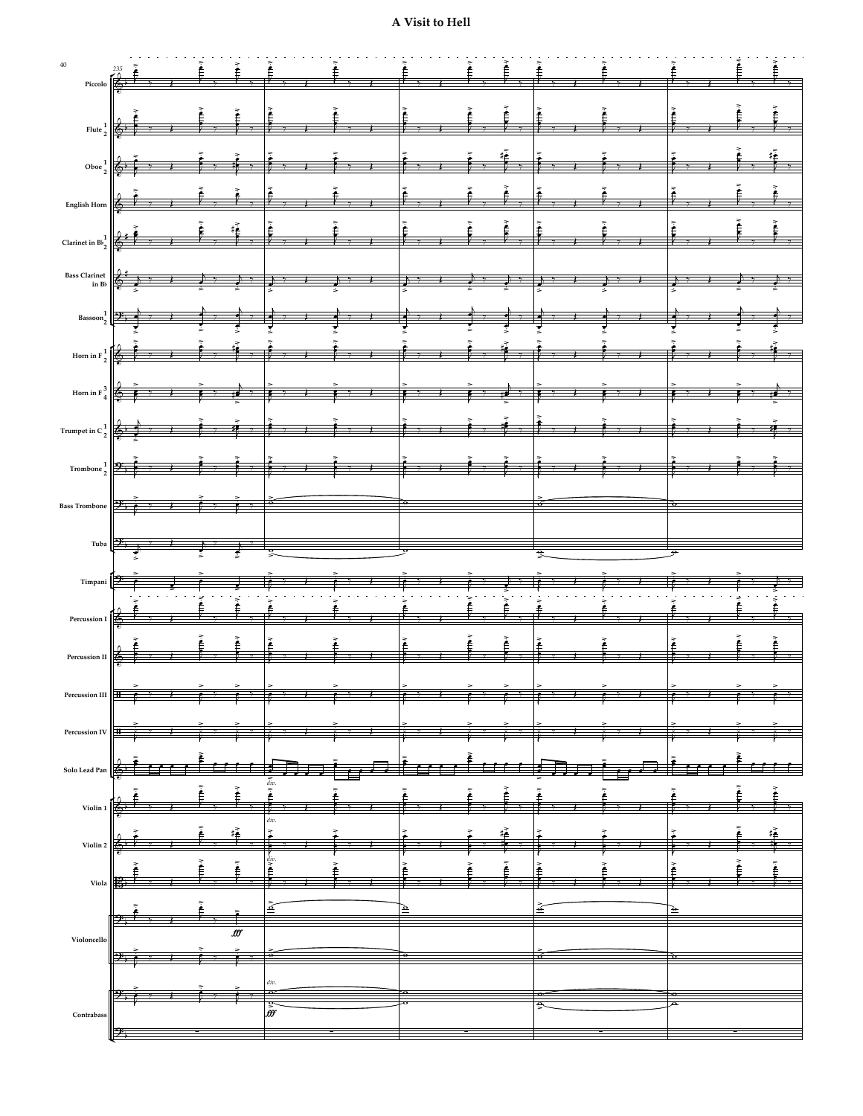